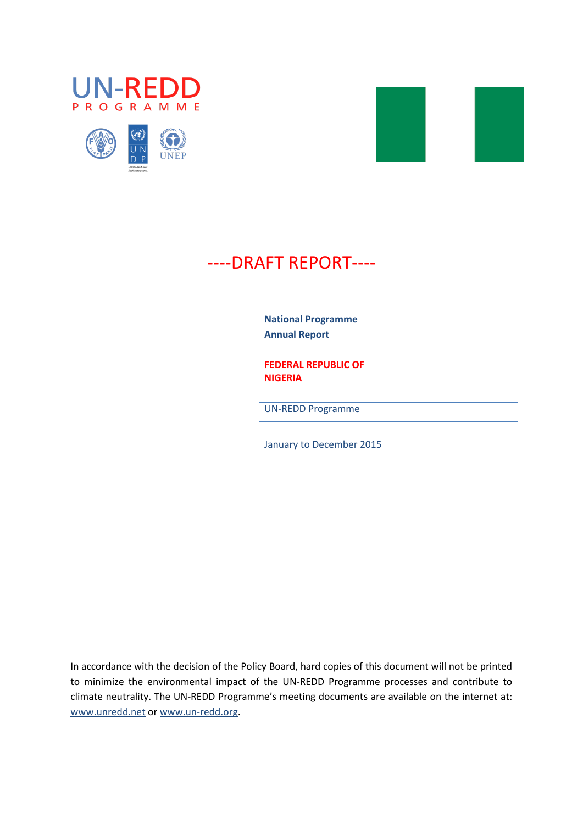





# ----DRAFT REPORT----

**National Programme Annual Report** 

**FEDERAL REPUBLIC OF NIGERIA**

UN-REDD Programme

January to December 2015

In accordance with the decision of the Policy Board, hard copies of this document will not be printed to minimize the environmental impact of the UN-REDD Programme processes and contribute to climate neutrality. The UN-REDD Programme's meeting documents are available on the internet at: [www.unredd.net](http://www.unredd.net/) or [www.un-redd.org.](http://www.un-redd.org/)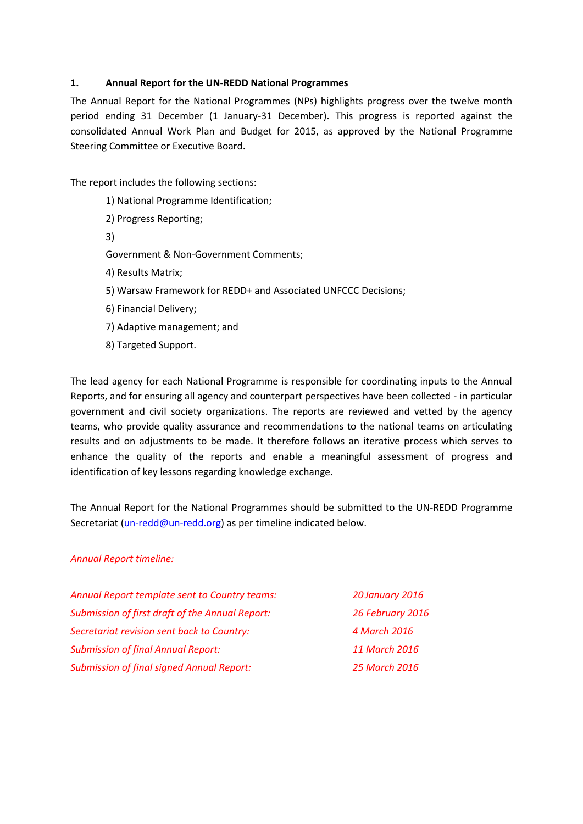# **1. Annual Report for the UN-REDD National Programmes**

The Annual Report for the National Programmes (NPs) highlights progress over the twelve month period ending 31 December (1 January-31 December). This progress is reported against the consolidated Annual Work Plan and Budget for 2015, as approved by the National Programme Steering Committee or Executive Board.

The report includes the following sections:

- 1[\) National Programme Identification;](#page-2-0)
- 2) Progress [Reporting;](#page-4-0)
- 3[\)](#page-6-0)

[Government & Non-Government Comments;](#page-6-0)

- 4[\) Results Matrix;](#page-7-0)
- 5[\) Warsaw Framework for REDD+ and Associated UNFCCC Decisions;](#page-21-0)
- 6[\) Financial Delivery;](#page-34-0)
- 7[\) Adaptive management;](#page-35-0) and
- 8[\) Targeted Support.](#page-38-0)

The lead agency for each National Programme is responsible for coordinating inputs to the Annual Reports, and for ensuring all agency and counterpart perspectives have been collected - in particular government and civil society organizations. The reports are reviewed and vetted by the agency teams, who provide quality assurance and recommendations to the national teams on articulating results and on adjustments to be made. It therefore follows an iterative process which serves to enhance the quality of the reports and enable a meaningful assessment of progress and identification of key lessons regarding knowledge exchange.

The Annual Report for the National Programmes should be submitted to the UN-REDD Programme Secretariat [\(un-redd@un-redd.org\)](mailto:un-redd@un-redd.org) as per timeline indicated below.

## *Annual Report timeline:*

| Annual Report template sent to Country teams:    | 20 January 2016  |
|--------------------------------------------------|------------------|
| Submission of first draft of the Annual Report:  | 26 February 2016 |
| Secretariat revision sent back to Country:       | 4 March 2016     |
| <b>Submission of final Annual Report:</b>        | 11 March 2016    |
| <b>Submission of final signed Annual Report:</b> | 25 March 2016    |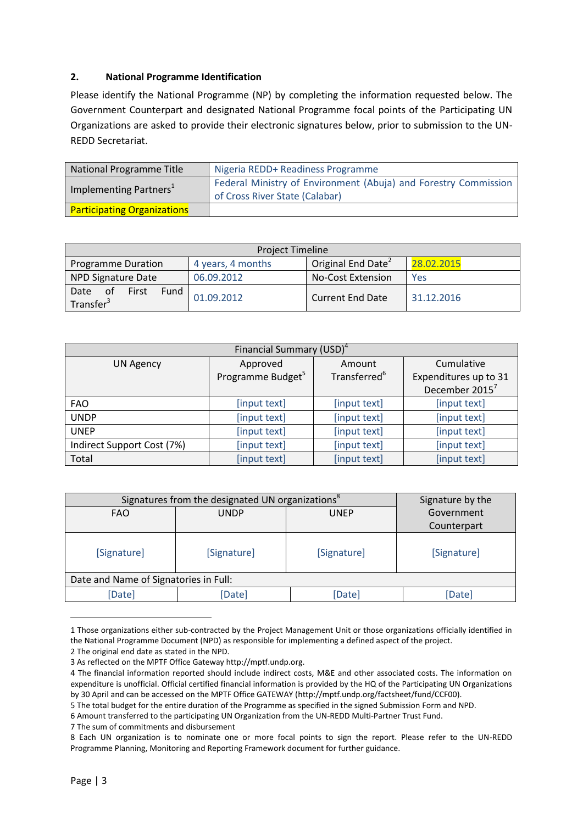# <span id="page-2-0"></span>**2. National Programme Identification**

Please identify the National Programme (NP) by completing the information requested below. The Government Counterpart and designated National Programme focal points of the Participating UN Organizations are asked to provide their electronic signatures below, prior to submission to the UN-REDD Secretariat.

| National Programme Title           | Nigeria REDD+ Readiness Programme                                                                 |
|------------------------------------|---------------------------------------------------------------------------------------------------|
| Implementing Partners <sup>1</sup> | Federal Ministry of Environment (Abuja) and Forestry Commission<br>of Cross River State (Calabar) |
| <b>Participating Organizations</b> |                                                                                                   |

| <b>Project Timeline</b>                              |                   |                                |            |
|------------------------------------------------------|-------------------|--------------------------------|------------|
| <b>Programme Duration</b>                            | 4 years, 4 months | Original End Date <sup>2</sup> | 28.02.2015 |
| <b>NPD Signature Date</b>                            | 06.09.2012        | <b>No-Cost Extension</b>       | Yes        |
| 0f<br>Fund<br>Date<br>First<br>Transfer <sup>3</sup> | 01.09.2012        | <b>Current End Date</b>        | 31.12.2016 |

| Financial Summary (USD) <sup>4</sup> |                               |                          |                            |  |
|--------------------------------------|-------------------------------|--------------------------|----------------------------|--|
| <b>UN Agency</b>                     | Approved                      | Amount                   | Cumulative                 |  |
|                                      | Programme Budget <sup>5</sup> | Transferred <sup>6</sup> | Expenditures up to 31      |  |
|                                      |                               |                          | December 2015 <sup>7</sup> |  |
| <b>FAO</b>                           | [input text]                  | [input text]             | [input text]               |  |
| <b>UNDP</b>                          | [input text]                  | [input text]             | [input text]               |  |
| <b>UNEP</b>                          | [input text]                  | [input text]             | [input text]               |  |
| Indirect Support Cost (7%)           | [input text]                  | [input text]             | [input text]               |  |
| Total                                | [input text]                  | [input text]             | [input text]               |  |

| Signatures from the designated UN organizations <sup>8</sup> |             |             | Signature by the |  |
|--------------------------------------------------------------|-------------|-------------|------------------|--|
| <b>FAO</b>                                                   | <b>UNDP</b> | <b>UNEP</b> | Government       |  |
|                                                              |             |             | Counterpart      |  |
| [Signature]                                                  | [Signature] | [Signature] | [Signature]      |  |
| Date and Name of Signatories in Full:                        |             |             |                  |  |
| [Date]                                                       | [Date]      | [Date]      | [Date]           |  |

<sup>1</sup> Those organizations either sub-contracted by the Project Management Unit or those organizations officially identified in the National Programme Document (NPD) as responsible for implementing a defined aspect of the project.

2 The original end date as stated in the NPD.

7 The sum of commitments and disbursement

1

<sup>3</sup> As reflected on the MPTF Office Gateway http://mptf.undp.org.

<sup>4</sup> The financial information reported should include indirect costs, M&E and other associated costs. The information on expenditure is unofficial. Official certified financial information is provided by the HQ of the Participating UN Organizations by 30 April and can be accessed on the MPTF Office GATEWAY [\(http://mptf.undp.org/factsheet/fund/CCF00\)](http://mptf.undp.org/factsheet/fund/CCF00).

<sup>5</sup> The total budget for the entire duration of the Programme as specified in the signed Submission Form and NPD.

<sup>6</sup> Amount transferred to the participating UN Organization from the UN-REDD Multi-Partner Trust Fund.

<sup>8</sup> Each UN organization is to nominate one or more focal points to sign the report. Please refer to the UN-REDD Programme Planning, Monitoring and Reporting Framework document for further guidance.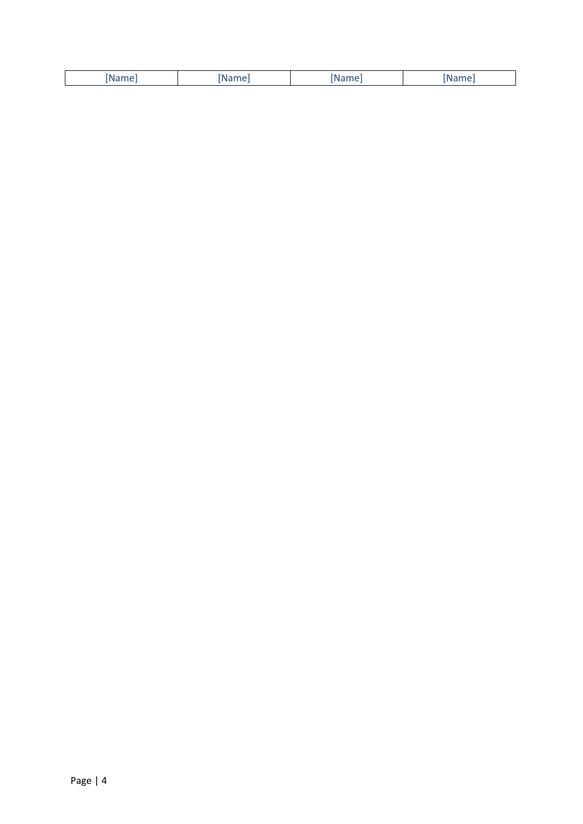| $\sim$ $\sim$<br>$\sim$ $\sim$ $\sim$<br>____ |  |  |
|-----------------------------------------------|--|--|
|                                               |  |  |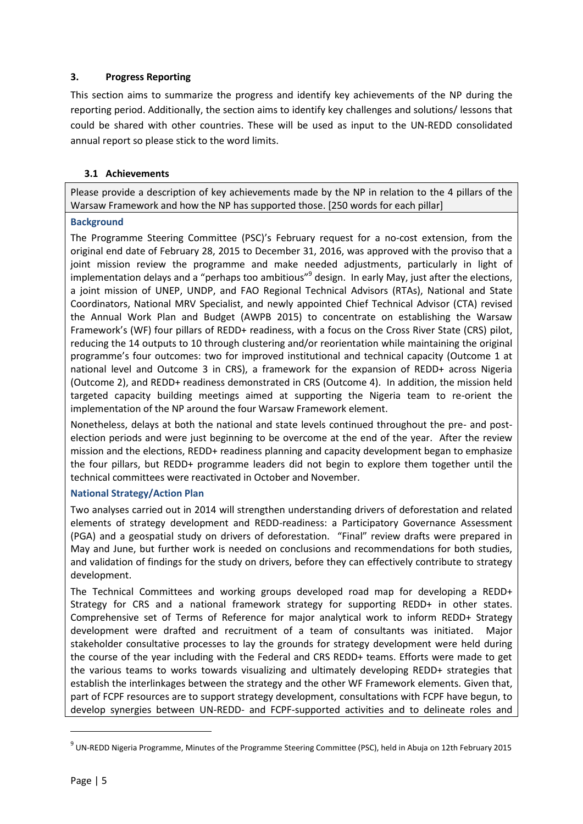# <span id="page-4-0"></span>**3. Progress Reporting**

This section aims to summarize the progress and identify key achievements of the NP during the reporting period. Additionally, the section aims to identify key challenges and solutions/ lessons that could be shared with other countries. These will be used as input to the UN-REDD consolidated annual report so please stick to the word limits.

# **3.1 Achievements**

Please provide a description of key achievements made by the NP in relation to the 4 pillars of the Warsaw Framework and how the NP has supported those. [250 words for each pillar]

# **Background**

The Programme Steering Committee (PSC)'s February request for a no-cost extension, from the original end date of February 28, 2015 to December 31, 2016, was approved with the proviso that a joint mission review the programme and make needed adjustments, particularly in light of implementation delays and a "perhaps too ambitious"<sup>9</sup> design. In early May, just after the elections, a joint mission of UNEP, UNDP, and FAO Regional Technical Advisors (RTAs), National and State Coordinators, National MRV Specialist, and newly appointed Chief Technical Advisor (CTA) revised the Annual Work Plan and Budget (AWPB 2015) to concentrate on establishing the Warsaw Framework's (WF) four pillars of REDD+ readiness, with a focus on the Cross River State (CRS) pilot, reducing the 14 outputs to 10 through clustering and/or reorientation while maintaining the original programme's four outcomes: two for improved institutional and technical capacity (Outcome 1 at national level and Outcome 3 in CRS), a framework for the expansion of REDD+ across Nigeria (Outcome 2), and REDD+ readiness demonstrated in CRS (Outcome 4). In addition, the mission held targeted capacity building meetings aimed at supporting the Nigeria team to re-orient the implementation of the NP around the four Warsaw Framework element.

Nonetheless, delays at both the national and state levels continued throughout the pre- and postelection periods and were just beginning to be overcome at the end of the year. After the review mission and the elections, REDD+ readiness planning and capacity development began to emphasize the four pillars, but REDD+ programme leaders did not begin to explore them together until the technical committees were reactivated in October and November.

# **National Strategy/Action Plan**

Two analyses carried out in 2014 will strengthen understanding drivers of deforestation and related elements of strategy development and REDD-readiness: a Participatory Governance Assessment (PGA) and a geospatial study on drivers of deforestation. "Final" review drafts were prepared in May and June, but further work is needed on conclusions and recommendations for both studies, and validation of findings for the study on drivers, before they can effectively contribute to strategy development.

The Technical Committees and working groups developed road map for developing a REDD+ Strategy for CRS and a national framework strategy for supporting REDD+ in other states. Comprehensive set of Terms of Reference for major analytical work to inform REDD+ Strategy development were drafted and recruitment of a team of consultants was initiated. Major stakeholder consultative processes to lay the grounds for strategy development were held during the course of the year including with the Federal and CRS REDD+ teams. Efforts were made to get the various teams to works towards visualizing and ultimately developing REDD+ strategies that establish the interlinkages between the strategy and the other WF Framework elements. Given that, part of FCPF resources are to support strategy development, consultations with FCPF have begun, to develop synergies between UN-REDD- and FCPF-supported activities and to delineate roles and

1

<sup>&</sup>lt;sup>9</sup> UN-REDD Nigeria Programme, Minutes of the Programme Steering Committee (PSC), held in Abuja on 12th February 2015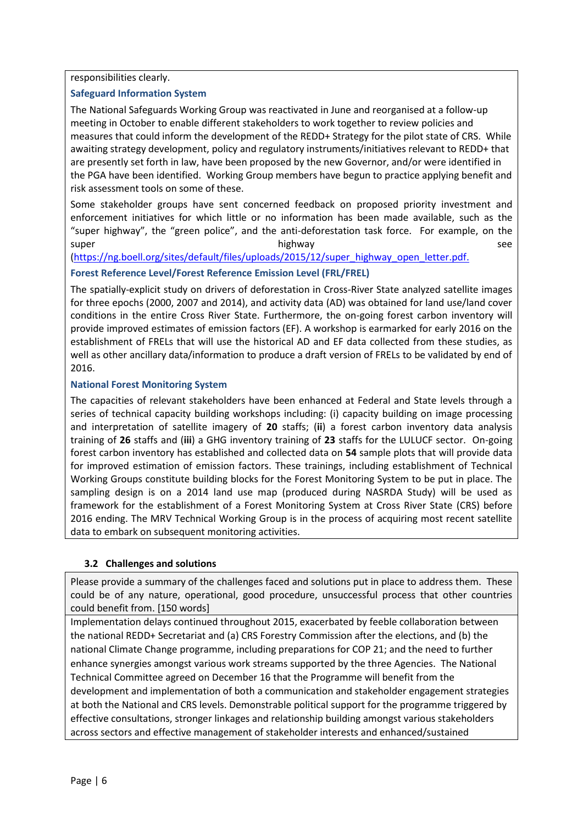responsibilities clearly.

# **Safeguard Information System**

The National Safeguards Working Group was reactivated in June and reorganised at a follow-up meeting in October to enable different stakeholders to work together to review policies and measures that could inform the development of the REDD+ Strategy for the pilot state of CRS. While awaiting strategy development, policy and regulatory instruments/initiatives relevant to REDD+ that are presently set forth in law, have been proposed by the new Governor, and/or were identified in the PGA have been identified. Working Group members have begun to practice applying benefit and risk assessment tools on some of these.

Some stakeholder groups have sent concerned feedback on proposed priority investment and enforcement initiatives for which little or no information has been made available, such as the "super highway", the "green police", and the anti-deforestation task force. For example, on the super highway bighway see

[\(https://ng.boell.org/sites/default/files/uploads/2015/12/super\\_highway\\_open\\_letter.pdf.](https://ng.boell.org/sites/default/files/uploads/2015/12/super_highway_open_letter.pdf)

# **Forest Reference Level/Forest Reference Emission Level (FRL/FREL)**

The spatially-explicit study on drivers of deforestation in Cross-River State analyzed satellite images for three epochs (2000, 2007 and 2014), and activity data (AD) was obtained for land use/land cover conditions in the entire Cross River State. Furthermore, the on-going forest carbon inventory will provide improved estimates of emission factors (EF). A workshop is earmarked for early 2016 on the establishment of FRELs that will use the historical AD and EF data collected from these studies, as well as other ancillary data/information to produce a draft version of FRELs to be validated by end of 2016.

# **National Forest Monitoring System**

The capacities of relevant stakeholders have been enhanced at Federal and State levels through a series of technical capacity building workshops including: (i) capacity building on image processing and interpretation of satellite imagery of **20** staffs; (**ii**) a forest carbon inventory data analysis training of **26** staffs and (**iii**) a GHG inventory training of **23** staffs for the LULUCF sector. On-going forest carbon inventory has established and collected data on **54** sample plots that will provide data for improved estimation of emission factors. These trainings, including establishment of Technical Working Groups constitute building blocks for the Forest Monitoring System to be put in place. The sampling design is on a 2014 land use map (produced during NASRDA Study) will be used as framework for the establishment of a Forest Monitoring System at Cross River State (CRS) before 2016 ending. The MRV Technical Working Group is in the process of acquiring most recent satellite data to embark on subsequent monitoring activities.

# **3.2 Challenges and solutions**

Please provide a summary of the challenges faced and solutions put in place to address them. These could be of any nature, operational, good procedure, unsuccessful process that other countries could benefit from. [150 words]

Implementation delays continued throughout 2015, exacerbated by feeble collaboration between the national REDD+ Secretariat and (a) CRS Forestry Commission after the elections, and (b) the national Climate Change programme, including preparations for COP 21; and the need to further enhance synergies amongst various work streams supported by the three Agencies. The National Technical Committee agreed on December 16 that the Programme will benefit from the development and implementation of both a communication and stakeholder engagement strategies at both the National and CRS levels. Demonstrable political support for the programme triggered by effective consultations, stronger linkages and relationship building amongst various stakeholders across sectors and effective management of stakeholder interests and enhanced/sustained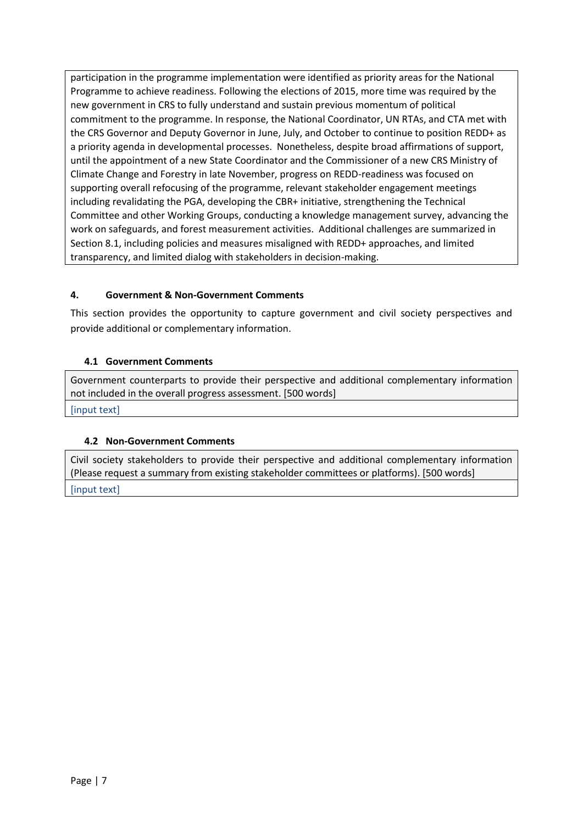participation in the programme implementation were identified as priority areas for the National Programme to achieve readiness. Following the elections of 2015, more time was required by the new government in CRS to fully understand and sustain previous momentum of political commitment to the programme. In response, the National Coordinator, UN RTAs, and CTA met with the CRS Governor and Deputy Governor in June, July, and October to continue to position REDD+ as a priority agenda in developmental processes. Nonetheless, despite broad affirmations of support, until the appointment of a new State Coordinator and the Commissioner of a new CRS Ministry of Climate Change and Forestry in late November, progress on REDD-readiness was focused on supporting overall refocusing of the programme, relevant stakeholder engagement meetings including revalidating the PGA, developing the CBR+ initiative, strengthening the Technical Committee and other Working Groups, conducting a knowledge management survey, advancing the work on safeguards, and forest measurement activities. Additional challenges are summarized in Section 8.1, including policies and measures misaligned with REDD+ approaches, and limited transparency, and limited dialog with stakeholders in decision-making.

# <span id="page-6-0"></span>**4. Government & Non-Government Comments**

This section provides the opportunity to capture government and civil society perspectives and provide additional or complementary information.

# **4.1 Government Comments**

Government counterparts to provide their perspective and additional complementary information not included in the overall progress assessment. [500 words] [input text]

# **4.2 Non-Government Comments**

Civil society stakeholders to provide their perspective and additional complementary information (Please request a summary from existing stakeholder committees or platforms). [500 words]

[input text]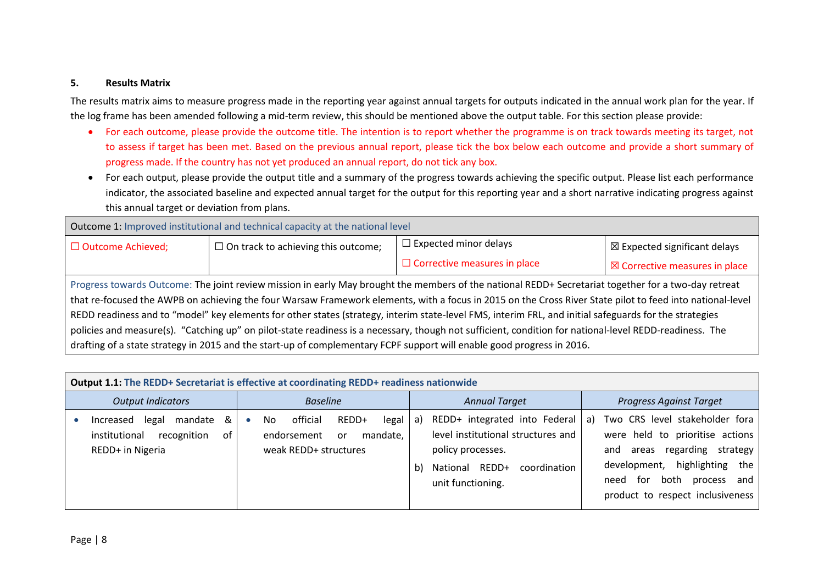#### **5. Results Matrix**

The results matrix aims to measure progress made in the reporting year against annual targets for outputs indicated in the annual work plan for the year. If the log frame has been amended following a mid-term review, this should be mentioned above the output table. For this section please provide:

- For each outcome, please provide the outcome title. The intention is to report whether the programme is on track towards meeting its target, not to assess if target has been met. Based on the previous annual report, please tick the box below each outcome and provide a short summary of progress made. If the country has not yet produced an annual report, do not tick any box.
- For each output, please provide the output title and a summary of the progress towards achieving the specific output. Please list each performance indicator, the associated baseline and expected annual target for the output for this reporting year and a short narrative indicating progress against this annual target or deviation from plans.

| Outcome 1: Improved institutional and technical capacity at the national level                                                                            |                                            |                                                                                                                        |                                         |  |
|-----------------------------------------------------------------------------------------------------------------------------------------------------------|--------------------------------------------|------------------------------------------------------------------------------------------------------------------------|-----------------------------------------|--|
| $\Box$ Outcome Achieved;                                                                                                                                  | $\Box$ On track to achieving this outcome; | $\Box$ Expected minor delays                                                                                           | $\boxtimes$ Expected significant delays |  |
| $\Box$ Corrective measures in place<br>$\boxtimes$ Corrective measures in place                                                                           |                                            |                                                                                                                        |                                         |  |
| Progress towards Outcome: The joint review mission in early May brought the members of the national REDD+ Secretariat together for a two-day retreat      |                                            |                                                                                                                        |                                         |  |
| that re-focused the AWPB on achieving the four Warsaw Framework elements, with a focus in 2015 on the Cross River State pilot to feed into national-level |                                            |                                                                                                                        |                                         |  |
| REDD readiness and to "model" key elements for other states (strategy, interim state-level FMS, interim FRL, and initial safeguards for the strategies    |                                            |                                                                                                                        |                                         |  |
| policies and measure(s). "Catching up" on pilot-state readiness is a necessary, though not sufficient, condition for national-level REDD-readiness. The   |                                            |                                                                                                                        |                                         |  |
|                                                                                                                                                           |                                            | drafting of a state strategy in 2015 and the start-up of complementary FCPF support will enable good progress in 2016. |                                         |  |

<span id="page-7-0"></span>

| <b>Output 1.1: The REDD+ Secretariat is effective at coordinating REDD+ readiness nationwide</b> |                                                                                                    |                                                                                                                                                             |                                                                                                                                                                                                                                        |  |
|--------------------------------------------------------------------------------------------------|----------------------------------------------------------------------------------------------------|-------------------------------------------------------------------------------------------------------------------------------------------------------------|----------------------------------------------------------------------------------------------------------------------------------------------------------------------------------------------------------------------------------------|--|
| <b>Output Indicators</b>                                                                         | <b>Baseline</b>                                                                                    | <b>Annual Target</b>                                                                                                                                        | <b>Progress Against Target</b>                                                                                                                                                                                                         |  |
| mandate<br>&<br>legal<br>Increased<br>institutional<br>recognition<br>οt<br>REDD+ in Nigeria     | official<br>REDD+<br>legal<br>No.<br>mandate,<br>endorsement<br><b>or</b><br>weak REDD+ structures | REDD+ integrated into Federal<br>a)<br>level institutional structures and<br>policy processes.<br>National REDD+<br>coordination<br>b)<br>unit functioning. | Two CRS level stakeholder fora<br>a) a<br>were held to prioritise actions<br>regarding<br>strategy<br>areas<br>and<br>highlighting<br>the<br>development,<br>both<br>process<br>tor<br>and<br>need<br>product to respect inclusiveness |  |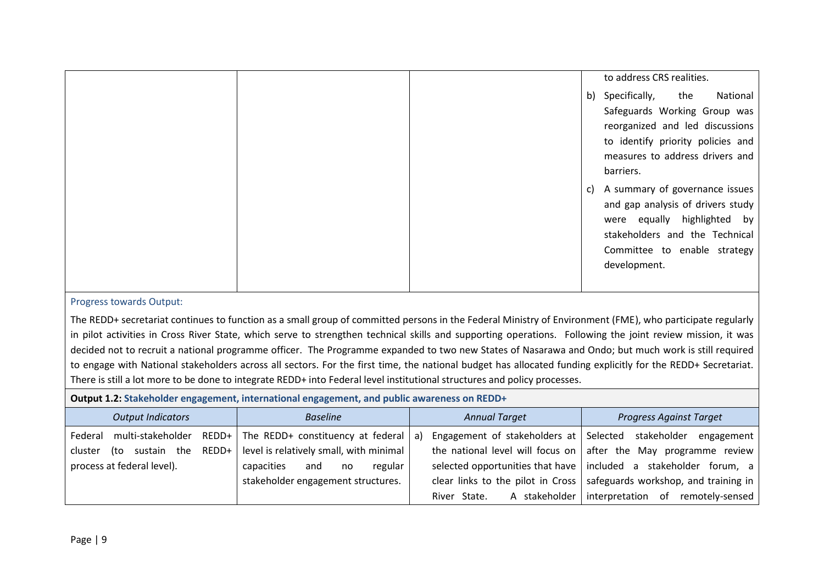|  |    | to address CRS realities.         |          |
|--|----|-----------------------------------|----------|
|  |    | b) Specifically, the              | National |
|  |    | Safeguards Working Group was      |          |
|  |    | reorganized and led discussions   |          |
|  |    | to identify priority policies and |          |
|  |    | measures to address drivers and   |          |
|  |    | barriers.                         |          |
|  | C) | A summary of governance issues    |          |
|  |    | and gap analysis of drivers study |          |
|  |    | were equally highlighted by       |          |
|  |    | stakeholders and the Technical    |          |
|  |    | Committee to enable strategy      |          |
|  |    | development.                      |          |
|  |    |                                   |          |

The REDD+ secretariat continues to function as a small group of committed persons in the Federal Ministry of Environment (FME), who participate regularly in pilot activities in Cross River State, which serve to strengthen technical skills and supporting operations. Following the joint review mission, it was decided not to recruit a national programme officer. The Programme expanded to two new States of Nasarawa and Ondo; but much work is still required to engage with National stakeholders across all sectors. For the first time, the national budget has allocated funding explicitly for the REDD+ Secretariat. There is still a lot more to be done to integrate REDD+ into Federal level institutional structures and policy processes.

# **Output 1.2: Stakeholder engagement, international engagement, and public awareness on REDD+**

| <b>Output Indicators</b>                | <b>Baseline</b>                         | <b>Annual Target</b>                               | <b>Progress Against Target</b>                                                 |
|-----------------------------------------|-----------------------------------------|----------------------------------------------------|--------------------------------------------------------------------------------|
| REDD+  <br>multi-stakeholder<br>Federal | The REDD+ constituency at federal   a)  | Engagement of stakeholders at Selected stakeholder | engagement                                                                     |
| REDD+<br>(to sustain the<br>cluster     | level is relatively small, with minimal |                                                    | the national level will focus on $\vert$ after the May programme review        |
| process at federal level).              | capacities<br>regular<br>and<br>no      |                                                    | selected opportunities that have   included a stakeholder forum, a $\vert$     |
|                                         | stakeholder engagement structures.      |                                                    | clear links to the pilot in Cross $\vert$ safeguards workshop, and training in |
|                                         |                                         | A stakeholder<br>River State.                      | interpretation of remotely-sensed                                              |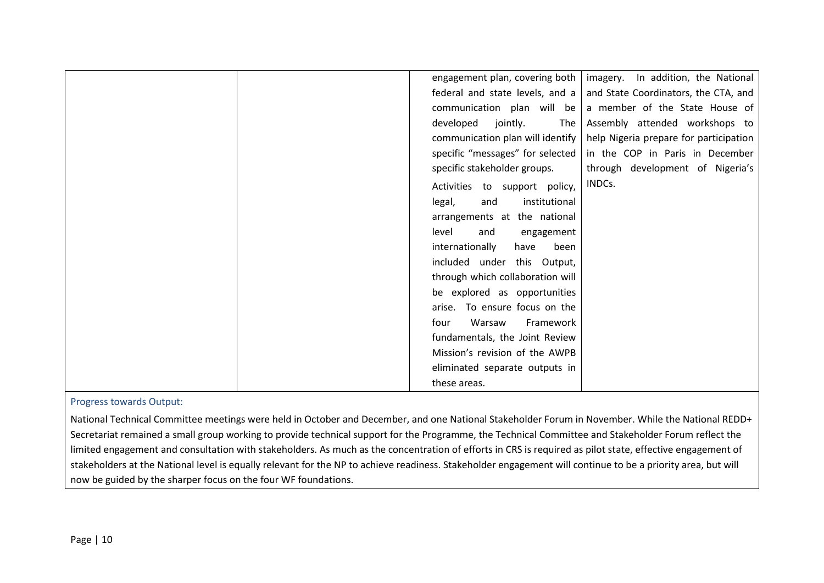| engagement plan, covering both   | In addition, the National<br>imagery.  |
|----------------------------------|----------------------------------------|
| federal and state levels, and a  | and State Coordinators, the CTA, and   |
| communication plan will be       | a member of the State House of         |
| jointly.<br>developed<br>The     | Assembly attended workshops to         |
| communication plan will identify | help Nigeria prepare for participation |
| specific "messages" for selected | in the COP in Paris in December        |
| specific stakeholder groups.     | through development of Nigeria's       |
| Activities to support policy,    | INDCs.                                 |
| institutional<br>legal,<br>and   |                                        |
| arrangements at the national     |                                        |
| level<br>and<br>engagement       |                                        |
| internationally<br>have<br>been  |                                        |
| included under this Output,      |                                        |
| through which collaboration will |                                        |
| be explored as opportunities     |                                        |
| arise. To ensure focus on the    |                                        |
| Warsaw<br>Framework<br>four      |                                        |
| fundamentals, the Joint Review   |                                        |
| Mission's revision of the AWPB   |                                        |
| eliminated separate outputs in   |                                        |
| these areas.                     |                                        |
|                                  |                                        |

National Technical Committee meetings were held in October and December, and one National Stakeholder Forum in November. While the National REDD+ Secretariat remained a small group working to provide technical support for the Programme, the Technical Committee and Stakeholder Forum reflect the limited engagement and consultation with stakeholders. As much as the concentration of efforts in CRS is required as pilot state, effective engagement of stakeholders at the National level is equally relevant for the NP to achieve readiness. Stakeholder engagement will continue to be a priority area, but will now be guided by the sharper focus on the four WF foundations.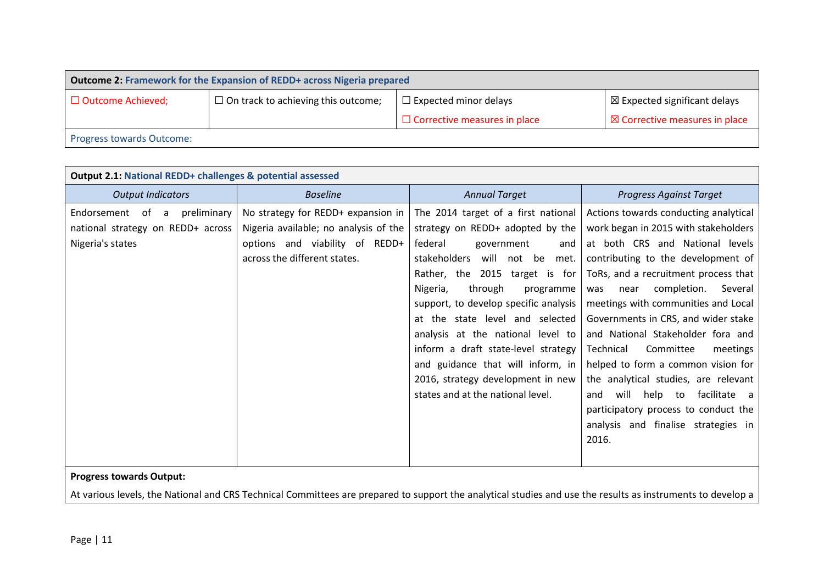| <b>Outcome 2: Framework for the Expansion of REDD+ across Nigeria prepared</b>                                                                    |  |  |  |  |
|---------------------------------------------------------------------------------------------------------------------------------------------------|--|--|--|--|
| $\Box$ On track to achieving this outcome;<br>$\boxtimes$ Expected significant delays<br>$\Box$ Expected minor delays<br>$\Box$ Outcome Achieved; |  |  |  |  |
| $\Box$ Corrective measures in place<br>$\boxtimes$ Corrective measures in place                                                                   |  |  |  |  |
| <b>Progress towards Outcome:</b>                                                                                                                  |  |  |  |  |

| <b>Annual Target</b><br><b>Output Indicators</b><br><b>Baseline</b><br><b>Progress Against Target</b><br>No strategy for REDD+ expansion in<br>The 2014 target of a first national<br>Actions towards conducting analytical<br>Endorsement of a<br>preliminary<br>Nigeria available; no analysis of the<br>strategy on REDD+ adopted by the<br>national strategy on REDD+ across<br>Nigeria's states<br>options and viability of REDD+<br>federal<br>government<br>and<br>across the different states.<br>stakeholders<br>will not be met.                                                                             | <b>Output 2.1: National REDD+ challenges &amp; potential assessed</b> |  |  |                                                                                                                                                                                                                                                                                            |  |  |  |  |
|------------------------------------------------------------------------------------------------------------------------------------------------------------------------------------------------------------------------------------------------------------------------------------------------------------------------------------------------------------------------------------------------------------------------------------------------------------------------------------------------------------------------------------------------------------------------------------------------------------------------|-----------------------------------------------------------------------|--|--|--------------------------------------------------------------------------------------------------------------------------------------------------------------------------------------------------------------------------------------------------------------------------------------------|--|--|--|--|
|                                                                                                                                                                                                                                                                                                                                                                                                                                                                                                                                                                                                                        |                                                                       |  |  |                                                                                                                                                                                                                                                                                            |  |  |  |  |
| Rather, the 2015 target is for<br>through<br>completion.<br>Nigeria,<br>Several<br>programme<br>was<br>near<br>meetings with communities and Local<br>support, to develop specific analysis<br>at the state level and selected<br>Governments in CRS, and wider stake<br>analysis at the national level to<br>and National Stakeholder fora and<br>inform a draft state-level strategy<br>Committee<br>Technical<br>meetings<br>and guidance that will inform, in<br>2016, strategy development in new<br>states and at the national level.<br>will<br>help to<br>and<br>participatory process to conduct the<br>2016. |                                                                       |  |  | work began in 2015 with stakeholders<br>at both CRS and National levels<br>contributing to the development of<br>ToRs, and a recruitment process that<br>helped to form a common vision for<br>the analytical studies, are relevant<br>facilitate a<br>analysis and finalise strategies in |  |  |  |  |

At various levels, the National and CRS Technical Committees are prepared to support the analytical studies and use the results as instruments to develop a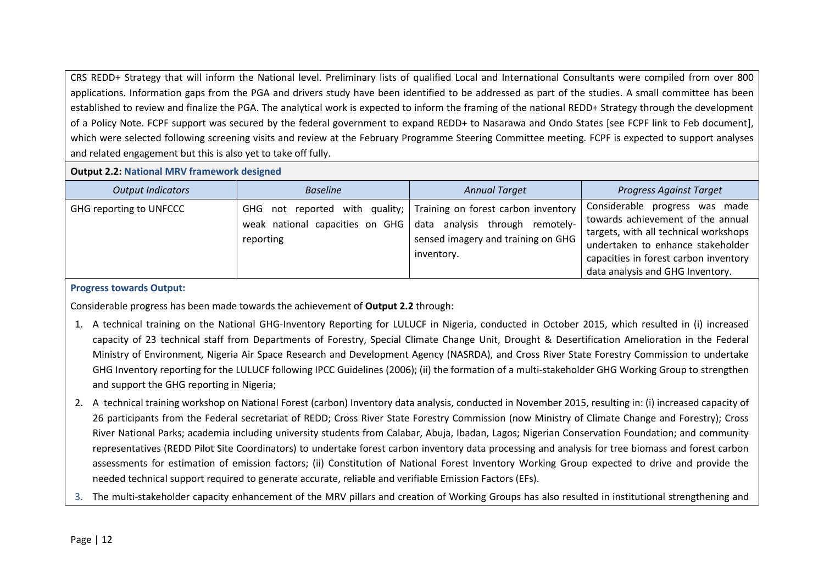CRS REDD+ Strategy that will inform the National level. Preliminary lists of qualified Local and International Consultants were compiled from over 800 applications. Information gaps from the PGA and drivers study have been identified to be addressed as part of the studies. A small committee has been established to review and finalize the PGA. The analytical work is expected to inform the framing of the national REDD+ Strategy through the development of a Policy Note. FCPF support was secured by the federal government to expand REDD+ to Nasarawa and Ondo States [see FCPF link to Feb document], which were selected following screening visits and review at the February Programme Steering Committee meeting. FCPF is expected to support analyses and related engagement but this is also yet to take off fully.

#### **Output 2.2: National MRV framework designed**

| <b>Output Indicators</b> | <b>Baseline</b>                                                    | <b>Annual Target</b>                                                                                                                | <b>Progress Against Target</b>                                                                                                                                                                                                    |
|--------------------------|--------------------------------------------------------------------|-------------------------------------------------------------------------------------------------------------------------------------|-----------------------------------------------------------------------------------------------------------------------------------------------------------------------------------------------------------------------------------|
| GHG reporting to UNFCCC  | weak national capacities on GHG data analysis through<br>reporting | GHG not reported with quality; Training on forest carbon inventory<br>remotely-<br>sensed imagery and training on GHG<br>inventory. | Considerable progress<br>was made<br>towards achievement of the annual<br>targets, with all technical workshops<br>undertaken to enhance stakeholder<br>capacities in forest carbon inventory<br>data analysis and GHG Inventory. |

## **Progress towards Output:**

Considerable progress has been made towards the achievement of **Output 2.2** through:

- 1. A technical training on the National GHG-Inventory Reporting for LULUCF in Nigeria, conducted in October 2015, which resulted in (i) increased capacity of 23 technical staff from Departments of Forestry, Special Climate Change Unit, Drought & Desertification Amelioration in the Federal Ministry of Environment, Nigeria Air Space Research and Development Agency (NASRDA), and Cross River State Forestry Commission to undertake GHG Inventory reporting for the LULUCF following IPCC Guidelines (2006); (ii) the formation of a multi-stakeholder GHG Working Group to strengthen and support the GHG reporting in Nigeria;
- 2. A technical training workshop on National Forest (carbon) Inventory data analysis, conducted in November 2015, resulting in: (i) increased capacity of 26 participants from the Federal secretariat of REDD; Cross River State Forestry Commission (now Ministry of Climate Change and Forestry); Cross River National Parks; academia including university students from Calabar, Abuja, Ibadan, Lagos; Nigerian Conservation Foundation; and community representatives (REDD Pilot Site Coordinators) to undertake forest carbon inventory data processing and analysis for tree biomass and forest carbon assessments for estimation of emission factors; (ii) Constitution of National Forest Inventory Working Group expected to drive and provide the needed technical support required to generate accurate, reliable and verifiable Emission Factors (EFs).
- 3. The multi-stakeholder capacity enhancement of the MRV pillars and creation of Working Groups has also resulted in institutional strengthening and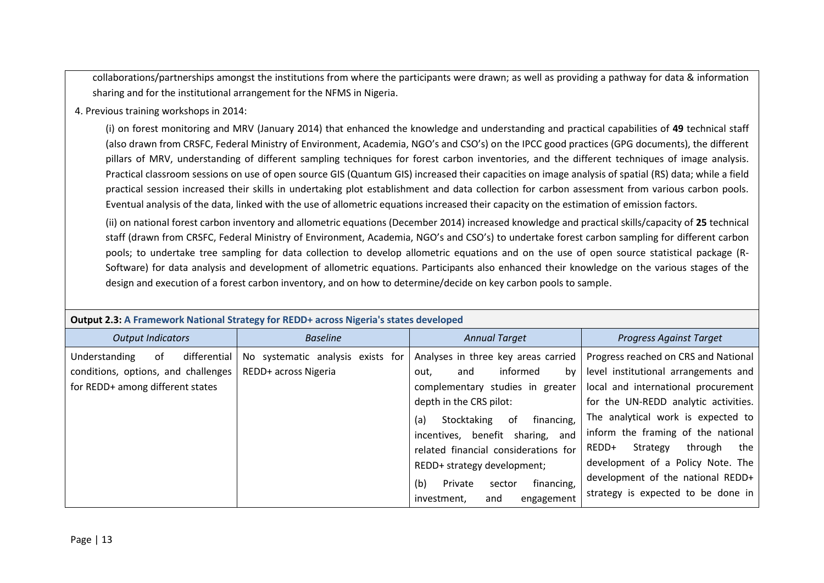collaborations/partnerships amongst the institutions from where the participants were drawn; as well as providing a pathway for data & information sharing and for the institutional arrangement for the NFMS in Nigeria.

**4.** 4. Previous training workshops in 2014:

(i) on forest monitoring and MRV (January 2014) that enhanced the knowledge and understanding and practical capabilities of **49** technical staff (also drawn from CRSFC, Federal Ministry of Environment, Academia, NGO's and CSO's) on the IPCC good practices (GPG documents), the different pillars of MRV, understanding of different sampling techniques for forest carbon inventories, and the different techniques of image analysis. Practical classroom sessions on use of open source GIS (Quantum GIS) increased their capacities on image analysis of spatial (RS) data; while a field practical session increased their skills in undertaking plot establishment and data collection for carbon assessment from various carbon pools. Eventual analysis of the data, linked with the use of allometric equations increased their capacity on the estimation of emission factors.

(ii) on national forest carbon inventory and allometric equations (December 2014) increased knowledge and practical skills/capacity of **25** technical staff (drawn from CRSFC, Federal Ministry of Environment, Academia, NGO's and CSO's) to undertake forest carbon sampling for different carbon pools; to undertake tree sampling for data collection to develop allometric equations and on the use of open source statistical package (R-Software) for data analysis and development of allometric equations. Participants also enhanced their knowledge on the various stages of the design and execution of a forest carbon inventory, and on how to determine/decide on key carbon pools to sample.

| <b>Output 2.0.</b> A Francisco in Hational Strategy for hEDD - across High has stated acycloped                |                                                           |                                                                                                                                                                                                                                                                                                                                                                           |                                                                                                                                                                                                                                                                                                                                                                                                |  |  |  |  |
|----------------------------------------------------------------------------------------------------------------|-----------------------------------------------------------|---------------------------------------------------------------------------------------------------------------------------------------------------------------------------------------------------------------------------------------------------------------------------------------------------------------------------------------------------------------------------|------------------------------------------------------------------------------------------------------------------------------------------------------------------------------------------------------------------------------------------------------------------------------------------------------------------------------------------------------------------------------------------------|--|--|--|--|
| <b>Output Indicators</b>                                                                                       | <b>Baseline</b>                                           | <b>Annual Target</b>                                                                                                                                                                                                                                                                                                                                                      | <b>Progress Against Target</b>                                                                                                                                                                                                                                                                                                                                                                 |  |  |  |  |
| differential<br>Understanding<br>0f<br>conditions, options, and challenges<br>for REDD+ among different states | No systematic analysis exists for<br>REDD+ across Nigeria | Analyses in three key areas carried<br>informed<br>by<br>and<br>out,<br>complementary studies in greater<br>depth in the CRS pilot:<br>of<br>(a)<br>financing,<br>Stocktaking<br>incentives, benefit sharing,<br>and<br>related financial considerations for<br>REDD+ strategy development;<br>(b)<br>financing,<br>Private<br>sector<br>investment,<br>engagement<br>and | Progress reached on CRS and National<br>level institutional arrangements and<br>local and international procurement<br>for the UN-REDD analytic activities.<br>The analytical work is expected to<br>inform the framing of the national<br>Strategy<br>REDD+<br>through<br>the<br>development of a Policy Note. The<br>development of the national REDD+<br>strategy is expected to be done in |  |  |  |  |

**Output 2.3: A Framework National Strategy for REDD+ across Nigeria's states developed**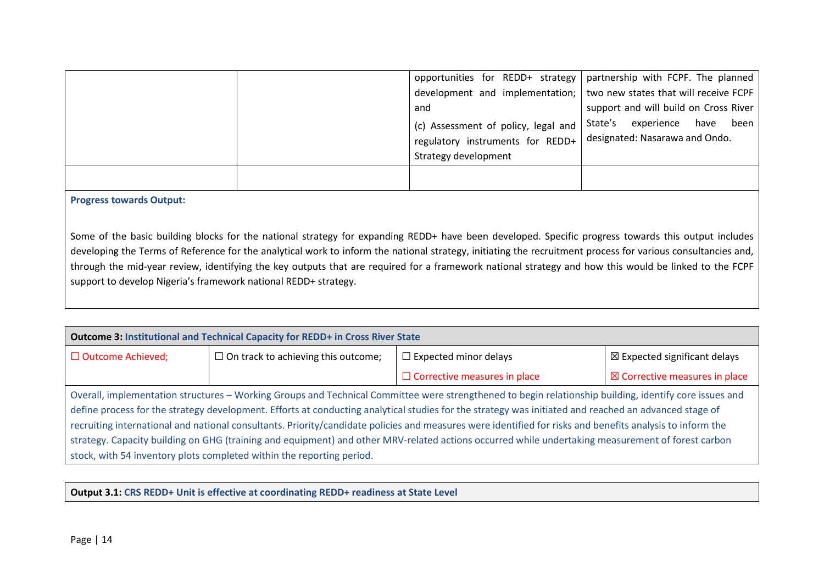|  | and                                                                     | opportunities for REDD+ strategy   partnership with FCPF. The planned<br>development and implementation; I two new states that will receive FCPF<br>support and will build on Cross River |
|--|-------------------------------------------------------------------------|-------------------------------------------------------------------------------------------------------------------------------------------------------------------------------------------|
|  | (c) Assessment of policy, legal and<br>regulatory instruments for REDD+ | State's experience<br>been<br>have<br>designated: Nasarawa and Ondo.                                                                                                                      |
|  | Strategy development                                                    |                                                                                                                                                                                           |

Some of the basic building blocks for the national strategy for expanding REDD+ have been developed. Specific progress towards this output includes developing the Terms of Reference for the analytical work to inform the national strategy, initiating the recruitment process for various consultancies and, through the mid-year review, identifying the key outputs that are required for a framework national strategy and how this would be linked to the FCPF support to develop Nigeria's framework national REDD+ strategy.

| Outcome 3: Institutional and Technical Capacity for REDD+ in Cross River State                                                                                                                                                                                                                                                                                                                                                                                                                                                                                                                                                                                                                             |                                            |                                                                         |  |  |  |  |  |
|------------------------------------------------------------------------------------------------------------------------------------------------------------------------------------------------------------------------------------------------------------------------------------------------------------------------------------------------------------------------------------------------------------------------------------------------------------------------------------------------------------------------------------------------------------------------------------------------------------------------------------------------------------------------------------------------------------|--------------------------------------------|-------------------------------------------------------------------------|--|--|--|--|--|
| □ Outcome Achieved;                                                                                                                                                                                                                                                                                                                                                                                                                                                                                                                                                                                                                                                                                        | $\Box$ On track to achieving this outcome; | $\boxtimes$ Expected significant delays<br>$\Box$ Expected minor delays |  |  |  |  |  |
| $\Box$ Corrective measures in place<br>$\boxtimes$ Corrective measures in place                                                                                                                                                                                                                                                                                                                                                                                                                                                                                                                                                                                                                            |                                            |                                                                         |  |  |  |  |  |
| Overall, implementation structures - Working Groups and Technical Committee were strengthened to begin relationship building, identify core issues and<br>define process for the strategy development. Efforts at conducting analytical studies for the strategy was initiated and reached an advanced stage of<br>recruiting international and national consultants. Priority/candidate policies and measures were identified for risks and benefits analysis to inform the<br>strategy. Capacity building on GHG (training and equipment) and other MRV-related actions occurred while undertaking measurement of forest carbon<br>stock, with 54 inventory plots completed within the reporting period. |                                            |                                                                         |  |  |  |  |  |

#### **Output 3.1: CRS REDD+ Unit is effective at coordinating REDD+ readiness at State Level**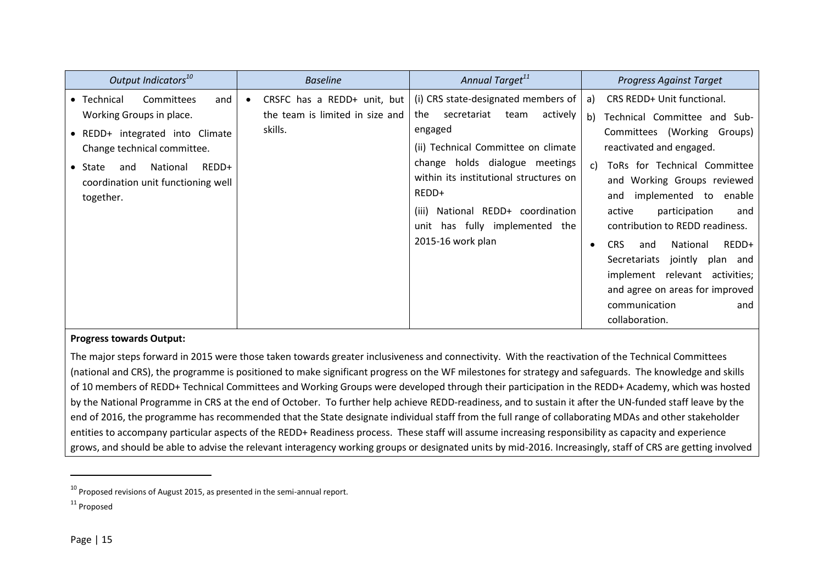| Output Indicators <sup>10</sup>                                                                                                | <b>Baseline</b>                                                           | Annual Target <sup>11</sup>                                                                                                                                                      | <b>Progress Against Target</b>                                                                                                                                                                                                                                                                                                                                         |
|--------------------------------------------------------------------------------------------------------------------------------|---------------------------------------------------------------------------|----------------------------------------------------------------------------------------------------------------------------------------------------------------------------------|------------------------------------------------------------------------------------------------------------------------------------------------------------------------------------------------------------------------------------------------------------------------------------------------------------------------------------------------------------------------|
| Committees<br>• Technical<br>and<br>Working Groups in place.<br>• REDD+ integrated into Climate<br>Change technical committee. | CRSFC has a REDD+ unit, but<br>the team is limited in size and<br>skills. | (i) CRS state-designated members of<br>the<br>actively<br>secretariat<br>team<br>engaged<br>(ii) Technical Committee on climate                                                  | CRS REDD+ Unit functional.<br>a)<br>b) Technical Committee and Sub-<br>Committees (Working Groups)<br>reactivated and engaged.                                                                                                                                                                                                                                         |
| REDD+<br>National<br>$\bullet$ State<br>and<br>coordination unit functioning well<br>together.                                 |                                                                           | change holds dialogue meetings<br>within its institutional structures on<br>REDD+<br>National REDD+ coordination<br>(iii)<br>unit has fully implemented the<br>2015-16 work plan | ToRs for Technical Committee<br>C)<br>and Working Groups reviewed<br>implemented to<br>enable<br>and<br>participation<br>active<br>and<br>contribution to REDD readiness.<br>REDD+<br><b>CRS</b><br>National<br>and<br>Secretariats<br>jointly plan and<br>implement relevant activities;<br>and agree on areas for improved<br>communication<br>and<br>collaboration. |

The major steps forward in 2015 were those taken towards greater inclusiveness and connectivity. With the reactivation of the Technical Committees (national and CRS), the programme is positioned to make significant progress on the WF milestones for strategy and safeguards. The knowledge and skills of 10 members of REDD+ Technical Committees and Working Groups were developed through their participation in the REDD+ Academy, which was hosted by the National Programme in CRS at the end of October. To further help achieve REDD-readiness, and to sustain it after the UN-funded staff leave by the end of 2016, the programme has recommended that the State designate individual staff from the full range of collaborating MDAs and other stakeholder entities to accompany particular aspects of the REDD+ Readiness process. These staff will assume increasing responsibility as capacity and experience grows, and should be able to advise the relevant interagency working groups or designated units by mid-2016. Increasingly, staff of CRS are getting involved

 $10$  Proposed revisions of August 2015, as presented in the semi-annual report.

<sup>11</sup> Proposed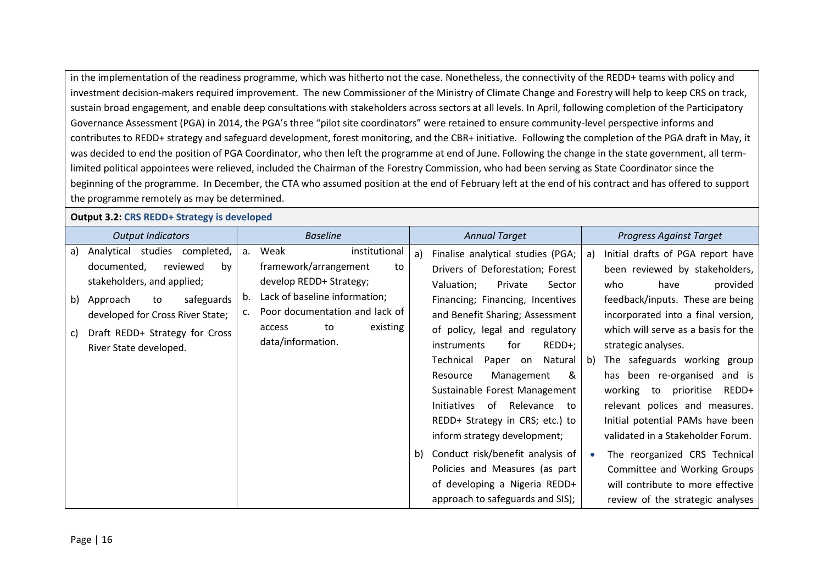in the implementation of the readiness programme, which was hitherto not the case. Nonetheless, the connectivity of the REDD+ teams with policy and investment decision-makers required improvement. The new Commissioner of the Ministry of Climate Change and Forestry will help to keep CRS on track, sustain broad engagement, and enable deep consultations with stakeholders across sectors at all levels. In April, following completion of the Participatory Governance Assessment (PGA) in 2014, the PGA's three "pilot site coordinators" were retained to ensure community-level perspective informs and contributes to REDD+ strategy and safeguard development, forest monitoring, and the CBR+ initiative. Following the completion of the PGA draft in May, it was decided to end the position of PGA Coordinator, who then left the programme at end of June. Following the change in the state government, all termlimited political appointees were relieved, included the Chairman of the Forestry Commission, who had been serving as State Coordinator since the beginning of the programme. In December, the CTA who assumed position at the end of February left at the end of his contract and has offered to support the programme remotely as may be determined.

| <b>Output 3.2: CRS REDD+ Strategy is developed</b> |  |
|----------------------------------------------------|--|
|                                                    |  |

|                | <b>Output Indicators</b>                                                                                                                                                                                                     |                | <b>Baseline</b>                                                                                                                                                                                     |          | <b>Annual Target</b>                                                                                                                                                                                                                                                                                                                                                                                                                                                                                  |          | <b>Progress Against Target</b>                                                                                                                                                                                                                                                                                                                                                                                                                                                             |
|----------------|------------------------------------------------------------------------------------------------------------------------------------------------------------------------------------------------------------------------------|----------------|-----------------------------------------------------------------------------------------------------------------------------------------------------------------------------------------------------|----------|-------------------------------------------------------------------------------------------------------------------------------------------------------------------------------------------------------------------------------------------------------------------------------------------------------------------------------------------------------------------------------------------------------------------------------------------------------------------------------------------------------|----------|--------------------------------------------------------------------------------------------------------------------------------------------------------------------------------------------------------------------------------------------------------------------------------------------------------------------------------------------------------------------------------------------------------------------------------------------------------------------------------------------|
| a)<br>b)<br>C) | Analytical studies completed,<br>reviewed<br>documented,<br>by<br>stakeholders, and applied;<br>safeguards<br>Approach<br>to<br>developed for Cross River State;<br>Draft REDD+ Strategy for Cross<br>River State developed. | a.<br>b.<br>c. | Weak<br>institutional<br>framework/arrangement<br>to<br>develop REDD+ Strategy;<br>Lack of baseline information;<br>Poor documentation and lack of<br>existing<br>to<br>access<br>data/information. | a)<br>b) | Finalise analytical studies (PGA;<br>Drivers of Deforestation; Forest<br>Valuation;<br>Private<br>Sector<br>Financing; Financing, Incentives<br>and Benefit Sharing; Assessment<br>of policy, legal and regulatory<br>REDD+;<br>for<br>instruments<br>Technical<br>Paper on<br>Natural<br>Management<br>&<br>Resource<br>Sustainable Forest Management<br>Initiatives<br>of<br>Relevance<br>to<br>REDD+ Strategy in CRS; etc.) to<br>inform strategy development;<br>Conduct risk/benefit analysis of | a)<br>b) | Initial drafts of PGA report have<br>been reviewed by stakeholders,<br>who<br>have<br>provided<br>feedback/inputs. These are being<br>incorporated into a final version,<br>which will serve as a basis for the<br>strategic analyses.<br>The safeguards working group<br>has been re-organised<br>and is<br>working to<br>prioritise<br>REDD+<br>relevant polices and measures.<br>Initial potential PAMs have been<br>validated in a Stakeholder Forum.<br>The reorganized CRS Technical |
|                |                                                                                                                                                                                                                              |                |                                                                                                                                                                                                     |          | Policies and Measures (as part<br>of developing a Nigeria REDD+                                                                                                                                                                                                                                                                                                                                                                                                                                       |          | Committee and Working Groups<br>will contribute to more effective                                                                                                                                                                                                                                                                                                                                                                                                                          |
|                |                                                                                                                                                                                                                              |                |                                                                                                                                                                                                     |          | approach to safeguards and SIS);                                                                                                                                                                                                                                                                                                                                                                                                                                                                      |          | review of the strategic analyses                                                                                                                                                                                                                                                                                                                                                                                                                                                           |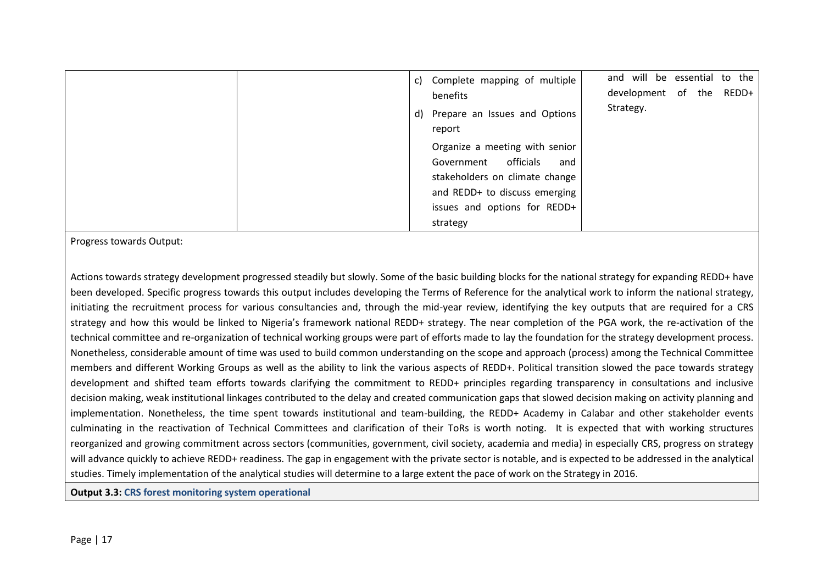| and will be essential to the<br>c) Complete mapping of multiple<br>development of the REDD+<br>benefits                                                                      |  |
|------------------------------------------------------------------------------------------------------------------------------------------------------------------------------|--|
| Strategy.<br>d) Prepare an Issues and Options<br>report                                                                                                                      |  |
| Organize a meeting with senior<br>Government officials<br>and<br>stakeholders on climate change<br>and REDD+ to discuss emerging<br>issues and options for REDD+<br>strategy |  |

Actions towards strategy development progressed steadily but slowly. Some of the basic building blocks for the national strategy for expanding REDD+ have been developed. Specific progress towards this output includes developing the Terms of Reference for the analytical work to inform the national strategy, initiating the recruitment process for various consultancies and, through the mid-year review, identifying the key outputs that are required for a CRS strategy and how this would be linked to Nigeria's framework national REDD+ strategy. The near completion of the PGA work, the re-activation of the technical committee and re-organization of technical working groups were part of efforts made to lay the foundation for the strategy development process. Nonetheless, considerable amount of time was used to build common understanding on the scope and approach (process) among the Technical Committee members and different Working Groups as well as the ability to link the various aspects of REDD+. Political transition slowed the pace towards strategy development and shifted team efforts towards clarifying the commitment to REDD+ principles regarding transparency in consultations and inclusive decision making, weak institutional linkages contributed to the delay and created communication gaps that slowed decision making on activity planning and implementation. Nonetheless, the time spent towards institutional and team-building, the REDD+ Academy in Calabar and other stakeholder events culminating in the reactivation of Technical Committees and clarification of their ToRs is worth noting. It is expected that with working structures reorganized and growing commitment across sectors (communities, government, civil society, academia and media) in especially CRS, progress on strategy will advance quickly to achieve REDD+ readiness. The gap in engagement with the private sector is notable, and is expected to be addressed in the analytical studies. Timely implementation of the analytical studies will determine to a large extent the pace of work on the Strategy in 2016.

**Output 3.3: CRS forest monitoring system operational**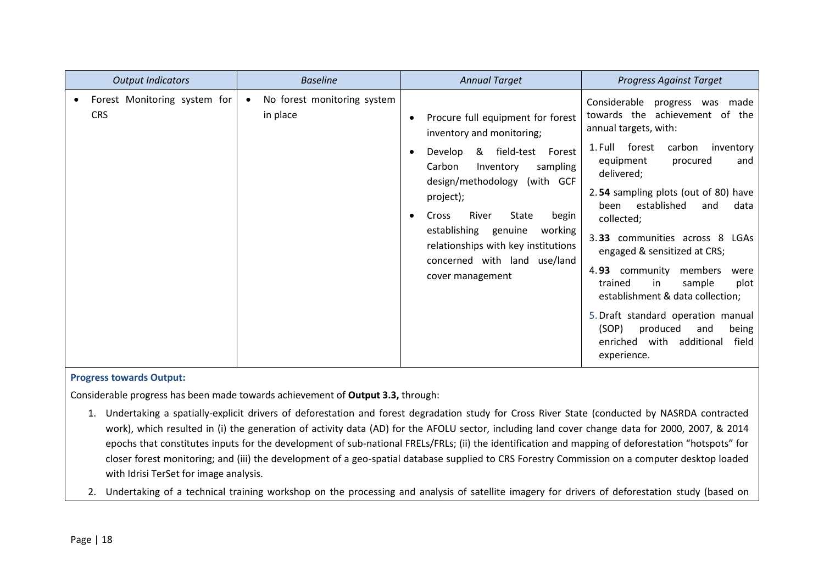| <b>Output Indicators</b>                   | <b>Baseline</b>                         | <b>Annual Target</b>                                                                                                                                                                                                                                                                                                                                                            | <b>Progress Against Target</b>                                                                                                                                                                                                                                                                                                                                                                                                                                                                                                                                                                        |
|--------------------------------------------|-----------------------------------------|---------------------------------------------------------------------------------------------------------------------------------------------------------------------------------------------------------------------------------------------------------------------------------------------------------------------------------------------------------------------------------|-------------------------------------------------------------------------------------------------------------------------------------------------------------------------------------------------------------------------------------------------------------------------------------------------------------------------------------------------------------------------------------------------------------------------------------------------------------------------------------------------------------------------------------------------------------------------------------------------------|
| Forest Monitoring system for<br><b>CRS</b> | No forest monitoring system<br>in place | Procure full equipment for forest<br>٠<br>inventory and monitoring;<br>& field-test Forest<br>Develop<br>$\bullet$<br>Carbon<br>sampling<br>Inventory<br>design/methodology<br>(with GCF<br>project);<br>River<br>State<br>Cross<br>begin<br>٠<br>establishing<br>genuine<br>working<br>relationships with key institutions<br>concerned with land use/land<br>cover management | Considerable<br>progress was made<br>towards the achievement of the<br>annual targets, with:<br>1. Full<br>forest<br>carbon<br>inventory<br>equipment<br>procured<br>and<br>delivered;<br>2.54 sampling plots (out of 80) have<br>established<br>and<br>data<br>been<br>collected;<br>3.33 communities across 8 LGAs<br>engaged & sensitized at CRS;<br>4.93 community<br>members<br>were<br>trained<br>in<br>sample<br>plot<br>establishment & data collection;<br>5. Draft standard operation manual<br>(SOP)<br>produced<br>being<br>and<br>with<br>enriched<br>additional<br>field<br>experience. |

Considerable progress has been made towards achievement of **Output 3.3,** through:

- 1. Undertaking a spatially-explicit drivers of deforestation and forest degradation study for Cross River State (conducted by NASRDA contracted work), which resulted in (i) the generation of activity data (AD) for the AFOLU sector, including land cover change data for 2000, 2007, & 2014 epochs that constitutes inputs for the development of sub-national FRELs/FRLs; (ii) the identification and mapping of deforestation "hotspots" for closer forest monitoring; and (iii) the development of a geo-spatial database supplied to CRS Forestry Commission on a computer desktop loaded with Idrisi TerSet for image analysis.
- 2. Undertaking of a technical training workshop on the processing and analysis of satellite imagery for drivers of deforestation study (based on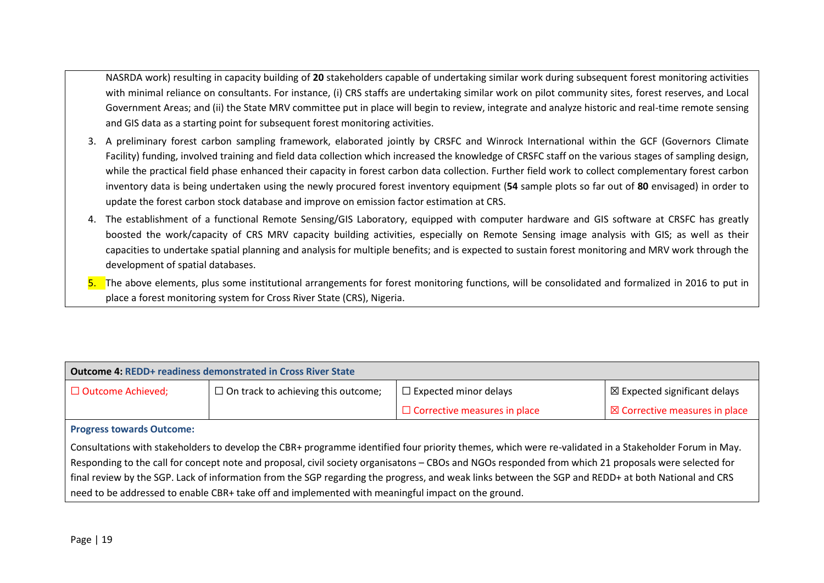NASRDA work) resulting in capacity building of **20** stakeholders capable of undertaking similar work during subsequent forest monitoring activities with minimal reliance on consultants. For instance, (i) CRS staffs are undertaking similar work on pilot community sites, forest reserves, and Local Government Areas; and (ii) the State MRV committee put in place will begin to review, integrate and analyze historic and real-time remote sensing and GIS data as a starting point for subsequent forest monitoring activities.

- 3. A preliminary forest carbon sampling framework, elaborated jointly by CRSFC and Winrock International within the GCF (Governors Climate Facility) funding, involved training and field data collection which increased the knowledge of CRSFC staff on the various stages of sampling design, while the practical field phase enhanced their capacity in forest carbon data collection. Further field work to collect complementary forest carbon inventory data is being undertaken using the newly procured forest inventory equipment (**54** sample plots so far out of **80** envisaged) in order to update the forest carbon stock database and improve on emission factor estimation at CRS.
- 4. The establishment of a functional Remote Sensing/GIS Laboratory, equipped with computer hardware and GIS software at CRSFC has greatly boosted the work/capacity of CRS MRV capacity building activities, especially on Remote Sensing image analysis with GIS; as well as their capacities to undertake spatial planning and analysis for multiple benefits; and is expected to sustain forest monitoring and MRV work through the development of spatial databases.

5. The above elements, plus some institutional arrangements for forest monitoring functions, will be consolidated and formalized in 2016 to put in place a forest monitoring system for Cross River State (CRS), Nigeria.

| <b>Outcome 4: REDD+ readiness demonstrated in Cross River State</b>                                                                                   |                                            |                                     |                                          |  |  |  |
|-------------------------------------------------------------------------------------------------------------------------------------------------------|--------------------------------------------|-------------------------------------|------------------------------------------|--|--|--|
| $\Box$ Outcome Achieved;                                                                                                                              | $\Box$ On track to achieving this outcome; | $\Box$ Expected minor delays        | $\boxtimes$ Expected significant delays  |  |  |  |
|                                                                                                                                                       |                                            | $\Box$ Corrective measures in place | $\boxtimes$ Corrective measures in place |  |  |  |
| <b>Progress towards Outcome:</b>                                                                                                                      |                                            |                                     |                                          |  |  |  |
| Consultations with stakeholders to develop the CBR+ programme identified four priority themes, which were re-validated in a Stakeholder Forum in May. |                                            |                                     |                                          |  |  |  |
| Responding to the call for concept note and proposal, civil society organisatons – CBOs and NGOs responded from which 21 proposals were selected for  |                                            |                                     |                                          |  |  |  |
| final review by the SGP. Lack of information from the SGP regarding the progress, and weak links between the SGP and REDD+ at both National and CRS   |                                            |                                     |                                          |  |  |  |

need to be addressed to enable CBR+ take off and implemented with meaningful impact on the ground.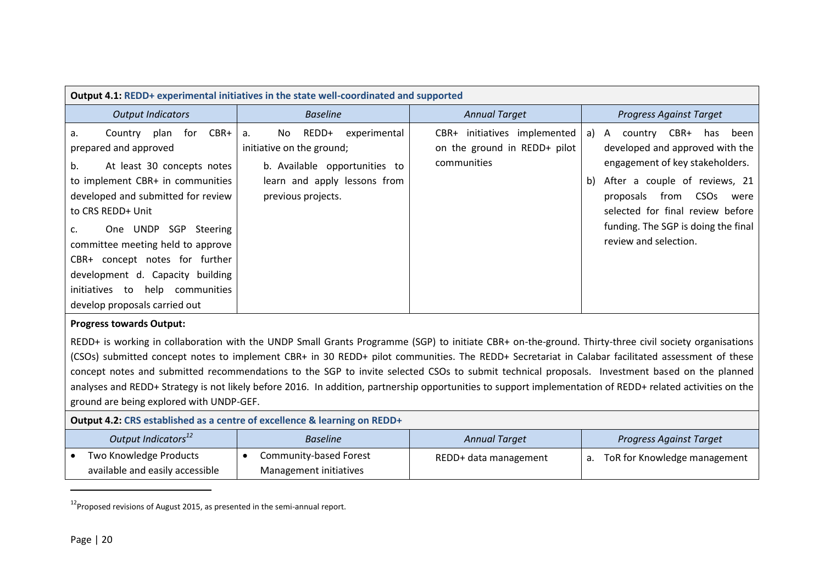| Output 4.1: REDD+ experimental initiatives in the state well-coordinated and supported                                                                                                                                                                                                                                                                                                                                                                                                                                                                                                                                                                      |                                                                                                                                                        |                                                                             |                                                                                                                                                                                                                                                                                                             |  |  |  |
|-------------------------------------------------------------------------------------------------------------------------------------------------------------------------------------------------------------------------------------------------------------------------------------------------------------------------------------------------------------------------------------------------------------------------------------------------------------------------------------------------------------------------------------------------------------------------------------------------------------------------------------------------------------|--------------------------------------------------------------------------------------------------------------------------------------------------------|-----------------------------------------------------------------------------|-------------------------------------------------------------------------------------------------------------------------------------------------------------------------------------------------------------------------------------------------------------------------------------------------------------|--|--|--|
| <b>Output Indicators</b>                                                                                                                                                                                                                                                                                                                                                                                                                                                                                                                                                                                                                                    | <b>Baseline</b>                                                                                                                                        | <b>Annual Target</b>                                                        | <b>Progress Against Target</b>                                                                                                                                                                                                                                                                              |  |  |  |
| Country plan<br>CBR+<br>for<br>a.<br>prepared and approved<br>At least 30 concepts notes<br>b.<br>to implement CBR+ in communities<br>developed and submitted for review<br>to CRS REDD+ Unit<br>One UNDP SGP Steering<br>c.<br>committee meeting held to approve<br>CBR+ concept notes for further<br>development d. Capacity building<br>initiatives to help communities<br>develop proposals carried out                                                                                                                                                                                                                                                 | REDD+<br>experimental<br>No.<br>a.<br>initiative on the ground;<br>b. Available opportunities to<br>learn and apply lessons from<br>previous projects. | CBR+ initiatives implemented<br>on the ground in REDD+ pilot<br>communities | CBR+ has<br>country<br>been<br>a) A<br>developed and approved with the<br>engagement of key stakeholders.<br>After a couple of reviews, 21<br>b)<br>proposals<br><b>CSO<sub>S</sub></b><br>from<br>were<br>selected for final review before<br>funding. The SGP is doing the final<br>review and selection. |  |  |  |
| <b>Progress towards Output:</b><br>REDD+ is working in collaboration with the UNDP Small Grants Programme (SGP) to initiate CBR+ on-the-ground. Thirty-three civil society organisations<br>(CSOs) submitted concept notes to implement CBR+ in 30 REDD+ pilot communities. The REDD+ Secretariat in Calabar facilitated assessment of these<br>concept notes and submitted recommendations to the SGP to invite selected CSOs to submit technical proposals. Investment based on the planned<br>analyses and REDD+ Strategy is not likely before 2016. In addition, partnership opportunities to support implementation of REDD+ related activities on the |                                                                                                                                                        |                                                                             |                                                                                                                                                                                                                                                                                                             |  |  |  |
| ground are being explored with UNDP-GEF.                                                                                                                                                                                                                                                                                                                                                                                                                                                                                                                                                                                                                    | Output 4.2: CRS established as a centre of excellence & learning on REDD+                                                                              |                                                                             |                                                                                                                                                                                                                                                                                                             |  |  |  |
| Output Indicators <sup>12</sup>                                                                                                                                                                                                                                                                                                                                                                                                                                                                                                                                                                                                                             | <b>Baseline</b>                                                                                                                                        | <b>Annual Target</b>                                                        | <b>Progress Against Target</b>                                                                                                                                                                                                                                                                              |  |  |  |
| Two Knowledge Products<br>available and easily accessible                                                                                                                                                                                                                                                                                                                                                                                                                                                                                                                                                                                                   | Community-based Forest<br>$\bullet$<br>Management initiatives                                                                                          | REDD+ data management                                                       | a. ToR for Knowledge management                                                                                                                                                                                                                                                                             |  |  |  |

 $12$ Proposed revisions of August 2015, as presented in the semi-annual report.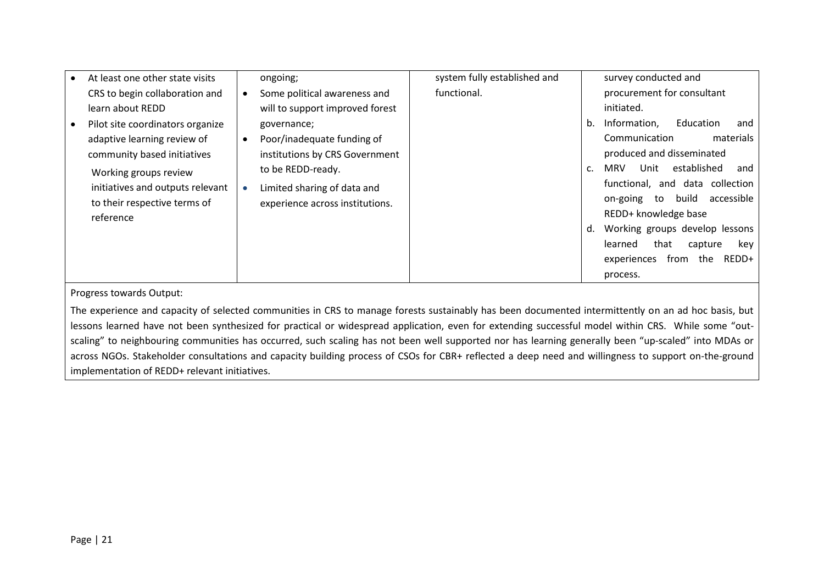| At least one other state visits  | ongoing;                                 | system fully established and | survey conducted and                                |
|----------------------------------|------------------------------------------|------------------------------|-----------------------------------------------------|
| CRS to begin collaboration and   | Some political awareness and             | functional.                  | procurement for consultant                          |
| learn about REDD                 | will to support improved forest          |                              | initiated.                                          |
| Pilot site coordinators organize | governance;                              |                              | Information,<br>Education<br>b.<br>and              |
| adaptive learning review of      | Poor/inadequate funding of<br>$\bullet$  |                              | Communication<br>materials                          |
| community based initiatives      | institutions by CRS Government           |                              | produced and disseminated                           |
| Working groups review            | to be REDD-ready.                        |                              | established<br>Unit<br>MRV<br>and<br>$\mathsf{C}$ . |
| initiatives and outputs relevant | Limited sharing of data and<br>$\bullet$ |                              | functional, and data collection                     |
| to their respective terms of     | experience across institutions.          |                              | build<br>accessible<br>on-going<br>to               |
| reference                        |                                          |                              | REDD+ knowledge base                                |
|                                  |                                          |                              | Working groups develop lessons<br>d.                |
|                                  |                                          |                              | that<br>learned<br>capture<br>key                   |
|                                  |                                          |                              | from<br>the<br>REDD+<br>experiences                 |
|                                  |                                          |                              | process.                                            |

The experience and capacity of selected communities in CRS to manage forests sustainably has been documented intermittently on an ad hoc basis, but lessons learned have not been synthesized for practical or widespread application, even for extending successful model within CRS. While some "outscaling" to neighbouring communities has occurred, such scaling has not been well supported nor has learning generally been "up-scaled" into MDAs or across NGOs. Stakeholder consultations and capacity building process of CSOs for CBR+ reflected a deep need and willingness to support on-the-ground implementation of REDD+ relevant initiatives.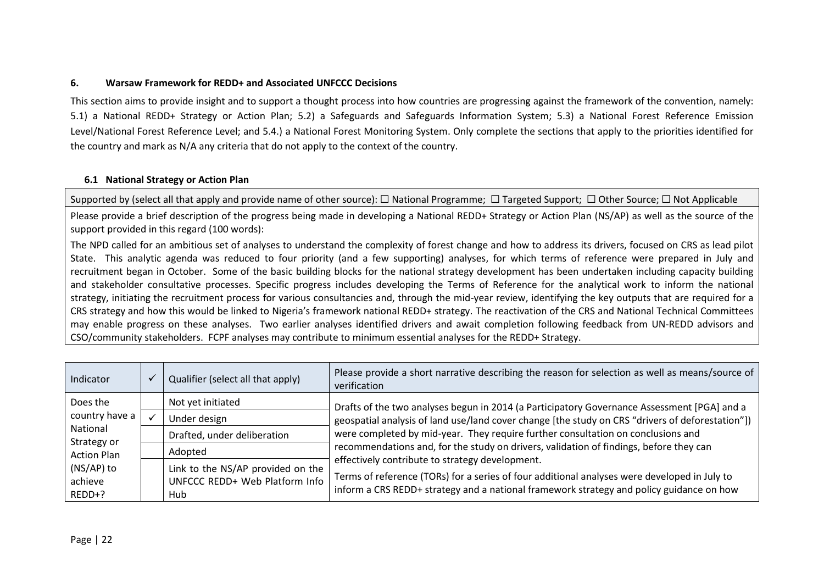## **6. Warsaw Framework for REDD+ and Associated UNFCCC Decisions**

This section aims to provide insight and to support a thought process into how countries are progressing against the framework of the convention, namely: 5.1) a National REDD+ Strategy or Action Plan; 5.2) a Safeguards and Safeguards Information System; 5.3) a National Forest Reference Emission Level/National Forest Reference Level; and 5.4.) a National Forest Monitoring System. Only complete the sections that apply to the priorities identified for the country and mark as N/A any criteria that do not apply to the context of the country.

## **6.1 National Strategy or Action Plan**

Supported by (select all that apply and provide name of other source): □ National Programme; □ Targeted Support; □ Other Source; □ Not Applicable

Please provide a brief description of the progress being made in developing a National REDD+ Strategy or Action Plan (NS/AP) as well as the source of the support provided in this regard (100 words):

The NPD called for an ambitious set of analyses to understand the complexity of forest change and how to address its drivers, focused on CRS as lead pilot State. This analytic agenda was reduced to four priority (and a few supporting) analyses, for which terms of reference were prepared in July and recruitment began in October. Some of the basic building blocks for the national strategy development has been undertaken including capacity building and stakeholder consultative processes. Specific progress includes developing the Terms of Reference for the analytical work to inform the national strategy, initiating the recruitment process for various consultancies and, through the mid-year review, identifying the key outputs that are required for a CRS strategy and how this would be linked to Nigeria's framework national REDD+ strategy. The reactivation of the CRS and National Technical Committees may enable progress on these analyses. Two earlier analyses identified drivers and await completion following feedback from UN-REDD advisors and CSO/community stakeholders. FCPF analyses may contribute to minimum essential analyses for the REDD+ Strategy.

<span id="page-21-0"></span>

| Indicator                       |          | Qualifier (select all that apply)                                          | Please provide a short narrative describing the reason for selection as well as means/source of<br>verification                                                                                                                             |
|---------------------------------|----------|----------------------------------------------------------------------------|---------------------------------------------------------------------------------------------------------------------------------------------------------------------------------------------------------------------------------------------|
| Does the                        |          | Not yet initiated                                                          | Drafts of the two analyses begun in 2014 (a Participatory Governance Assessment [PGA] and a                                                                                                                                                 |
| country have a                  |          | Under design                                                               | geospatial analysis of land use/land cover change [the study on CRS "drivers of deforestation"])                                                                                                                                            |
| Strategy or                     | National | Drafted, under deliberation                                                | were completed by mid-year. They require further consultation on conclusions and                                                                                                                                                            |
| <b>Action Plan</b>              |          | Adopted                                                                    | recommendations and, for the study on drivers, validation of findings, before they can                                                                                                                                                      |
| (NS/AP) to<br>achieve<br>REDD+? |          | Link to the NS/AP provided on the<br>UNFCCC REDD+ Web Platform Info<br>Hub | effectively contribute to strategy development.<br>Terms of reference (TORs) for a series of four additional analyses were developed in July to<br>inform a CRS REDD+ strategy and a national framework strategy and policy guidance on how |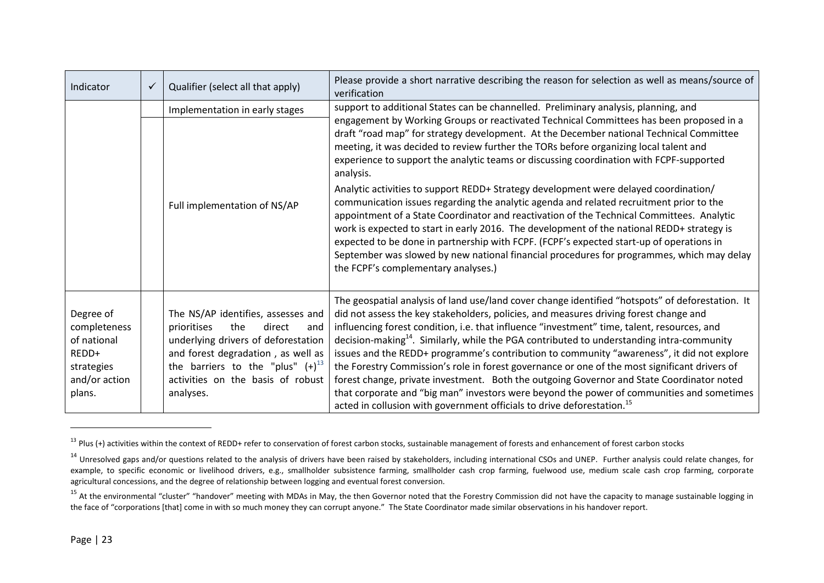| Indicator                                                                                  | ✓                            | Qualifier (select all that apply)                                                                                                                                                                                                                 | Please provide a short narrative describing the reason for selection as well as means/source of<br>verification                                                                                                                                                                                                                                                                                                                                                                                                                                                                                                                                                                                                                                                                                                                                                                  |  |
|--------------------------------------------------------------------------------------------|------------------------------|---------------------------------------------------------------------------------------------------------------------------------------------------------------------------------------------------------------------------------------------------|----------------------------------------------------------------------------------------------------------------------------------------------------------------------------------------------------------------------------------------------------------------------------------------------------------------------------------------------------------------------------------------------------------------------------------------------------------------------------------------------------------------------------------------------------------------------------------------------------------------------------------------------------------------------------------------------------------------------------------------------------------------------------------------------------------------------------------------------------------------------------------|--|
| Implementation in early stages                                                             |                              |                                                                                                                                                                                                                                                   | support to additional States can be channelled. Preliminary analysis, planning, and<br>engagement by Working Groups or reactivated Technical Committees has been proposed in a<br>draft "road map" for strategy development. At the December national Technical Committee<br>meeting, it was decided to review further the TORs before organizing local talent and<br>experience to support the analytic teams or discussing coordination with FCPF-supported                                                                                                                                                                                                                                                                                                                                                                                                                    |  |
|                                                                                            | Full implementation of NS/AP |                                                                                                                                                                                                                                                   | analysis.<br>Analytic activities to support REDD+ Strategy development were delayed coordination/<br>communication issues regarding the analytic agenda and related recruitment prior to the<br>appointment of a State Coordinator and reactivation of the Technical Committees. Analytic<br>work is expected to start in early 2016. The development of the national REDD+ strategy is<br>expected to be done in partnership with FCPF. (FCPF's expected start-up of operations in<br>September was slowed by new national financial procedures for programmes, which may delay<br>the FCPF's complementary analyses.)                                                                                                                                                                                                                                                          |  |
| Degree of<br>completeness<br>of national<br>REDD+<br>strategies<br>and/or action<br>plans. |                              | The NS/AP identifies, assesses and<br>prioritises<br>the<br>direct<br>and<br>underlying drivers of deforestation<br>and forest degradation, as well as<br>the barriers to the "plus" $(+)^{13}$<br>activities on the basis of robust<br>analyses. | The geospatial analysis of land use/land cover change identified "hotspots" of deforestation. It<br>did not assess the key stakeholders, policies, and measures driving forest change and<br>influencing forest condition, i.e. that influence "investment" time, talent, resources, and<br>decision-making <sup>14</sup> . Similarly, while the PGA contributed to understanding intra-community<br>issues and the REDD+ programme's contribution to community "awareness", it did not explore<br>the Forestry Commission's role in forest governance or one of the most significant drivers of<br>forest change, private investment. Both the outgoing Governor and State Coordinator noted<br>that corporate and "big man" investors were beyond the power of communities and sometimes<br>acted in collusion with government officials to drive deforestation. <sup>15</sup> |  |

<sup>&</sup>lt;sup>13</sup> Plus (+) activities within the context of REDD+ refer to conservation of forest carbon stocks, sustainable management of forests and enhancement of forest carbon stocks

<sup>&</sup>lt;sup>14</sup> Unresolved gaps and/or questions related to the analysis of drivers have been raised by stakeholders, including international CSOs and UNEP. Further analysis could relate changes, for example, to specific economic or livelihood drivers, e.g., smallholder subsistence farming, smallholder cash crop farming, fuelwood use, medium scale cash crop farming, corporate agricultural concessions, and the degree of relationship between logging and eventual forest conversion.

<sup>&</sup>lt;sup>15</sup> At the environmental "cluster" "handover" meeting with MDAs in May, the then Governor noted that the Forestry Commission did not have the capacity to manage sustainable logging in the face of "corporations [that] come in with so much money they can corrupt anyone." The State Coordinator made similar observations in his handover report.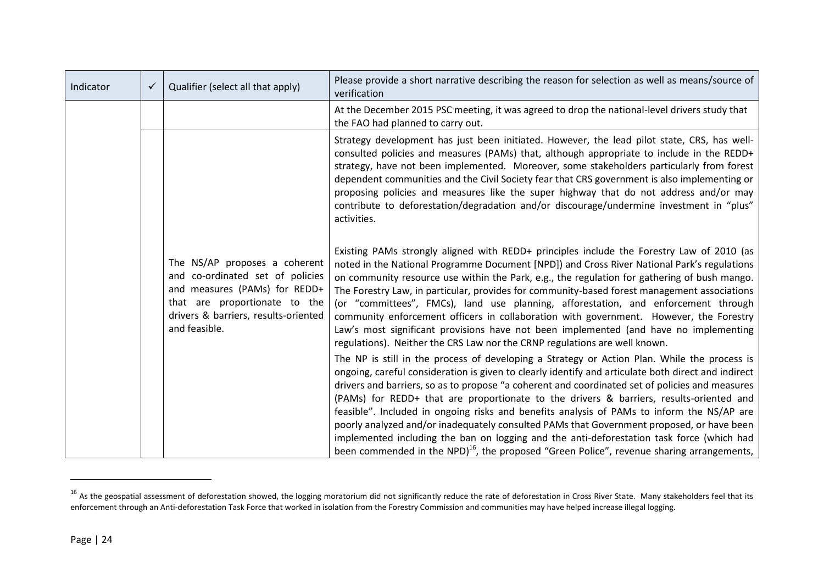| Indicator | $\checkmark$ | Qualifier (select all that apply)                                                                                                                                                            | Please provide a short narrative describing the reason for selection as well as means/source of<br>verification                                                                                                                                                                                                                                                                                                                                                                                                                                                                                                                                                                                                                                                                                    |
|-----------|--------------|----------------------------------------------------------------------------------------------------------------------------------------------------------------------------------------------|----------------------------------------------------------------------------------------------------------------------------------------------------------------------------------------------------------------------------------------------------------------------------------------------------------------------------------------------------------------------------------------------------------------------------------------------------------------------------------------------------------------------------------------------------------------------------------------------------------------------------------------------------------------------------------------------------------------------------------------------------------------------------------------------------|
|           |              |                                                                                                                                                                                              | At the December 2015 PSC meeting, it was agreed to drop the national-level drivers study that<br>the FAO had planned to carry out.                                                                                                                                                                                                                                                                                                                                                                                                                                                                                                                                                                                                                                                                 |
|           |              |                                                                                                                                                                                              | Strategy development has just been initiated. However, the lead pilot state, CRS, has well-<br>consulted policies and measures (PAMs) that, although appropriate to include in the REDD+<br>strategy, have not been implemented. Moreover, some stakeholders particularly from forest<br>dependent communities and the Civil Society fear that CRS government is also implementing or<br>proposing policies and measures like the super highway that do not address and/or may<br>contribute to deforestation/degradation and/or discourage/undermine investment in "plus"<br>activities.                                                                                                                                                                                                          |
|           |              | The NS/AP proposes a coherent<br>and co-ordinated set of policies<br>and measures (PAMs) for REDD+<br>that are proportionate to the<br>drivers & barriers, results-oriented<br>and feasible. | Existing PAMs strongly aligned with REDD+ principles include the Forestry Law of 2010 (as<br>noted in the National Programme Document [NPD]) and Cross River National Park's regulations<br>on community resource use within the Park, e.g., the regulation for gathering of bush mango.<br>The Forestry Law, in particular, provides for community-based forest management associations<br>(or "committees", FMCs), land use planning, afforestation, and enforcement through<br>community enforcement officers in collaboration with government. However, the Forestry<br>Law's most significant provisions have not been implemented (and have no implementing<br>regulations). Neither the CRS Law nor the CRNP regulations are well known.                                                    |
|           |              |                                                                                                                                                                                              | The NP is still in the process of developing a Strategy or Action Plan. While the process is<br>ongoing, careful consideration is given to clearly identify and articulate both direct and indirect<br>drivers and barriers, so as to propose "a coherent and coordinated set of policies and measures<br>(PAMs) for REDD+ that are proportionate to the drivers & barriers, results-oriented and<br>feasible". Included in ongoing risks and benefits analysis of PAMs to inform the NS/AP are<br>poorly analyzed and/or inadequately consulted PAMs that Government proposed, or have been<br>implemented including the ban on logging and the anti-deforestation task force (which had<br>been commended in the NPD) <sup>16</sup> , the proposed "Green Police", revenue sharing arrangements, |

 $16$  As the geospatial assessment of deforestation showed, the logging moratorium did not significantly reduce the rate of deforestation in Cross River State. Many stakeholders feel that its enforcement through an Anti-deforestation Task Force that worked in isolation from the Forestry Commission and communities may have helped increase illegal logging.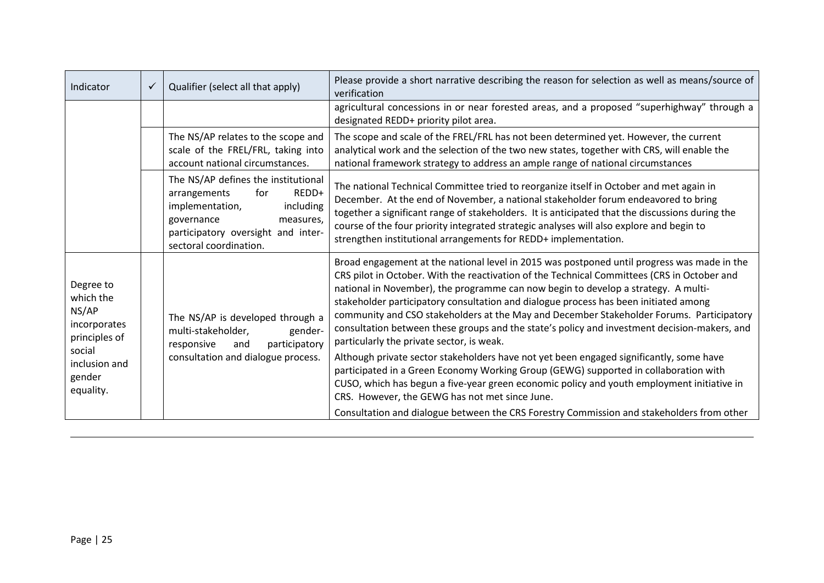| Indicator                                                                      | $\checkmark$                       | Qualifier (select all that apply)                                                                                                                                                                                                                                                                                               | Please provide a short narrative describing the reason for selection as well as means/source of<br>verification                                                                                                                                                                                                                                                                                                                                                                                                                                                                                                   |  |
|--------------------------------------------------------------------------------|------------------------------------|---------------------------------------------------------------------------------------------------------------------------------------------------------------------------------------------------------------------------------------------------------------------------------------------------------------------------------|-------------------------------------------------------------------------------------------------------------------------------------------------------------------------------------------------------------------------------------------------------------------------------------------------------------------------------------------------------------------------------------------------------------------------------------------------------------------------------------------------------------------------------------------------------------------------------------------------------------------|--|
|                                                                                |                                    |                                                                                                                                                                                                                                                                                                                                 | agricultural concessions in or near forested areas, and a proposed "superhighway" through a<br>designated REDD+ priority pilot area.                                                                                                                                                                                                                                                                                                                                                                                                                                                                              |  |
|                                                                                |                                    | The NS/AP relates to the scope and<br>scale of the FREL/FRL, taking into<br>account national circumstances.                                                                                                                                                                                                                     | The scope and scale of the FREL/FRL has not been determined yet. However, the current<br>analytical work and the selection of the two new states, together with CRS, will enable the<br>national framework strategy to address an ample range of national circumstances                                                                                                                                                                                                                                                                                                                                           |  |
| arrangements<br>for<br>implementation,<br>governance<br>sectoral coordination. |                                    | The NS/AP defines the institutional<br>REDD+<br>including<br>measures,<br>participatory oversight and inter-                                                                                                                                                                                                                    | The national Technical Committee tried to reorganize itself in October and met again in<br>December. At the end of November, a national stakeholder forum endeavored to bring<br>together a significant range of stakeholders. It is anticipated that the discussions during the<br>course of the four priority integrated strategic analyses will also explore and begin to<br>strengthen institutional arrangements for REDD+ implementation.                                                                                                                                                                   |  |
| Degree to<br>which the<br>NS/AP<br>incorporates<br>principles of<br>social     |                                    | The NS/AP is developed through a<br>multi-stakeholder,<br>gender-<br>participatory<br>responsive<br>and                                                                                                                                                                                                                         | Broad engagement at the national level in 2015 was postponed until progress was made in the<br>CRS pilot in October. With the reactivation of the Technical Committees (CRS in October and<br>national in November), the programme can now begin to develop a strategy. A multi-<br>stakeholder participatory consultation and dialogue process has been initiated among<br>community and CSO stakeholders at the May and December Stakeholder Forums. Participatory<br>consultation between these groups and the state's policy and investment decision-makers, and<br>particularly the private sector, is weak. |  |
| inclusion and<br>gender<br>equality.                                           | consultation and dialogue process. | Although private sector stakeholders have not yet been engaged significantly, some have<br>participated in a Green Economy Working Group (GEWG) supported in collaboration with<br>CUSO, which has begun a five-year green economic policy and youth employment initiative in<br>CRS. However, the GEWG has not met since June. |                                                                                                                                                                                                                                                                                                                                                                                                                                                                                                                                                                                                                   |  |
|                                                                                |                                    |                                                                                                                                                                                                                                                                                                                                 | Consultation and dialogue between the CRS Forestry Commission and stakeholders from other                                                                                                                                                                                                                                                                                                                                                                                                                                                                                                                         |  |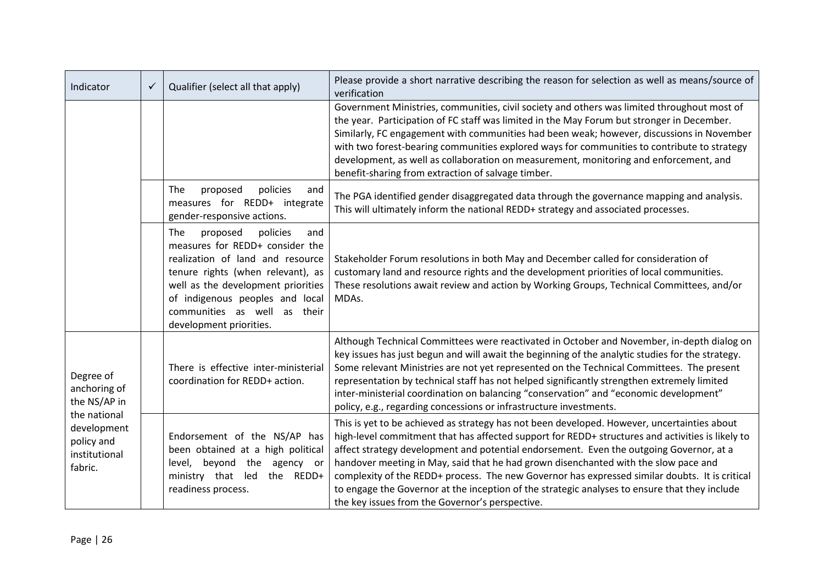| Indicator                                                             | $\checkmark$ | Qualifier (select all that apply)                                                                                                                                                                                                                                                  | Please provide a short narrative describing the reason for selection as well as means/source of<br>verification                                                                                                                                                                                                                                                                                                                                                                                                                                                                                                                         |
|-----------------------------------------------------------------------|--------------|------------------------------------------------------------------------------------------------------------------------------------------------------------------------------------------------------------------------------------------------------------------------------------|-----------------------------------------------------------------------------------------------------------------------------------------------------------------------------------------------------------------------------------------------------------------------------------------------------------------------------------------------------------------------------------------------------------------------------------------------------------------------------------------------------------------------------------------------------------------------------------------------------------------------------------------|
|                                                                       |              |                                                                                                                                                                                                                                                                                    | Government Ministries, communities, civil society and others was limited throughout most of<br>the year. Participation of FC staff was limited in the May Forum but stronger in December.<br>Similarly, FC engagement with communities had been weak; however, discussions in November<br>with two forest-bearing communities explored ways for communities to contribute to strategy<br>development, as well as collaboration on measurement, monitoring and enforcement, and<br>benefit-sharing from extraction of salvage timber.                                                                                                    |
|                                                                       |              | policies<br>The<br>proposed<br>and<br>measures for REDD+ integrate<br>gender-responsive actions.                                                                                                                                                                                   | The PGA identified gender disaggregated data through the governance mapping and analysis.<br>This will ultimately inform the national REDD+ strategy and associated processes.                                                                                                                                                                                                                                                                                                                                                                                                                                                          |
|                                                                       |              | policies<br>The<br>proposed<br>and<br>measures for REDD+ consider the<br>realization of land and resource<br>tenure rights (when relevant), as<br>well as the development priorities<br>of indigenous peoples and local<br>communities as well as their<br>development priorities. | Stakeholder Forum resolutions in both May and December called for consideration of<br>customary land and resource rights and the development priorities of local communities.<br>These resolutions await review and action by Working Groups, Technical Committees, and/or<br>MDAs.                                                                                                                                                                                                                                                                                                                                                     |
| Degree of<br>anchoring of<br>the NS/AP in                             |              | There is effective inter-ministerial<br>coordination for REDD+ action.                                                                                                                                                                                                             | Although Technical Committees were reactivated in October and November, in-depth dialog on<br>key issues has just begun and will await the beginning of the analytic studies for the strategy.<br>Some relevant Ministries are not yet represented on the Technical Committees. The present<br>representation by technical staff has not helped significantly strengthen extremely limited<br>inter-ministerial coordination on balancing "conservation" and "economic development"<br>policy, e.g., regarding concessions or infrastructure investments.                                                                               |
| the national<br>development<br>policy and<br>institutional<br>fabric. |              | Endorsement of the NS/AP has<br>been obtained at a high political<br>level, beyond the agency or<br>ministry that led the REDD+<br>readiness process.                                                                                                                              | This is yet to be achieved as strategy has not been developed. However, uncertainties about<br>high-level commitment that has affected support for REDD+ structures and activities is likely to<br>affect strategy development and potential endorsement. Even the outgoing Governor, at a<br>handover meeting in May, said that he had grown disenchanted with the slow pace and<br>complexity of the REDD+ process. The new Governor has expressed similar doubts. It is critical<br>to engage the Governor at the inception of the strategic analyses to ensure that they include<br>the key issues from the Governor's perspective. |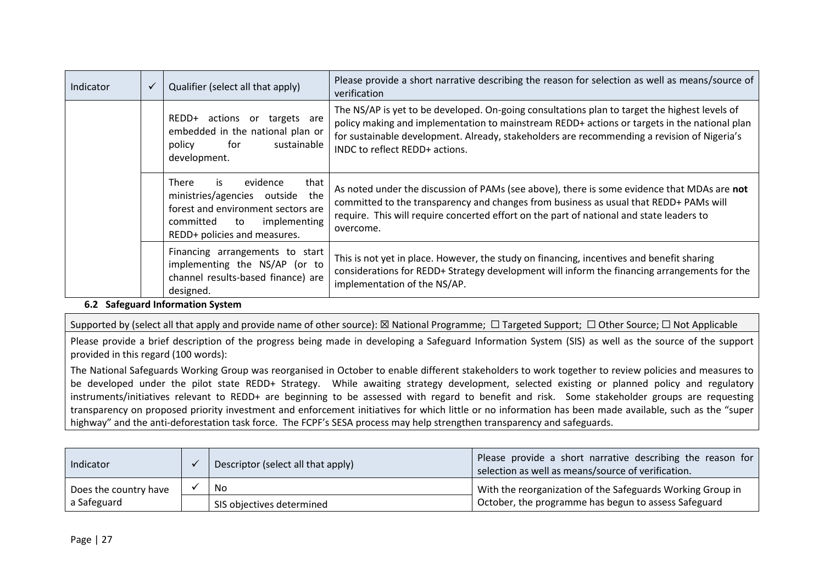| Indicator | $\checkmark$ | Qualifier (select all that apply)                                                                                                                                        | Please provide a short narrative describing the reason for selection as well as means/source of<br>verification                                                                                                                                                                                                                |
|-----------|--------------|--------------------------------------------------------------------------------------------------------------------------------------------------------------------------|--------------------------------------------------------------------------------------------------------------------------------------------------------------------------------------------------------------------------------------------------------------------------------------------------------------------------------|
|           |              | REDD+<br>actions or<br>targets are<br>embedded in the national plan or<br>sustainable<br>for<br>policy<br>development.                                                   | The NS/AP is yet to be developed. On-going consultations plan to target the highest levels of<br>policy making and implementation to mainstream REDD+ actions or targets in the national plan<br>for sustainable development. Already, stakeholders are recommending a revision of Nigeria's<br>INDC to reflect REDD+ actions. |
|           |              | evidence<br>that<br>There<br>is<br>ministries/agencies outside the<br>forest and environment sectors are<br>implementing<br>committed to<br>REDD+ policies and measures. | As noted under the discussion of PAMs (see above), there is some evidence that MDAs are not<br>committed to the transparency and changes from business as usual that REDD+ PAMs will<br>require. This will require concerted effort on the part of national and state leaders to<br>overcome.                                  |
|           |              | Financing arrangements to start<br>implementing the NS/AP (or to<br>channel results-based finance) are<br>designed.                                                      | This is not yet in place. However, the study on financing, incentives and benefit sharing<br>considerations for REDD+ Strategy development will inform the financing arrangements for the<br>implementation of the NS/AP.                                                                                                      |

# **6.2 Safeguard Information System**

Supported by (select all that apply and provide name of other source): ⊠ National Programme; □ Targeted Support; □ Other Source; □ Not Applicable

Please provide a brief description of the progress being made in developing a Safeguard Information System (SIS) as well as the source of the support provided in this regard (100 words):

The National Safeguards Working Group was reorganised in October to enable different stakeholders to work together to review policies and measures to be developed under the pilot state REDD+ Strategy. While awaiting strategy development, selected existing or planned policy and regulatory instruments/initiatives relevant to REDD+ are beginning to be assessed with regard to benefit and risk. Some stakeholder groups are requesting transparency on proposed priority investment and enforcement initiatives for which little or no information has been made available, such as the "super highway" and the anti-deforestation task force. The FCPF's SESA process may help strengthen transparency and safeguards.

| Indicator             | Descriptor (select all that apply) | Please provide a short narrative describing the reason for<br>selection as well as means/source of verification. |
|-----------------------|------------------------------------|------------------------------------------------------------------------------------------------------------------|
| Does the country have | No                                 | With the reorganization of the Safeguards Working Group in                                                       |
| a Safeguard           | SIS objectives determined          | October, the programme has begun to assess Safeguard                                                             |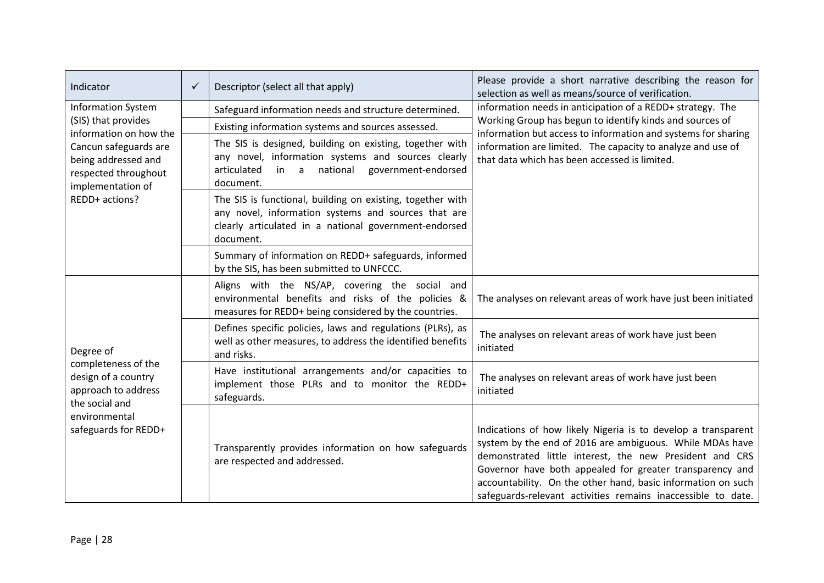| Indicator                                                                                                                    | $\checkmark$ | Descriptor (select all that apply)                                                                                                                                                      | Please provide a short narrative describing the reason for<br>selection as well as means/source of verification.                                                                                                                                                                                                                                                                 |
|------------------------------------------------------------------------------------------------------------------------------|--------------|-----------------------------------------------------------------------------------------------------------------------------------------------------------------------------------------|----------------------------------------------------------------------------------------------------------------------------------------------------------------------------------------------------------------------------------------------------------------------------------------------------------------------------------------------------------------------------------|
| <b>Information System</b>                                                                                                    |              | Safeguard information needs and structure determined.                                                                                                                                   | information needs in anticipation of a REDD+ strategy. The                                                                                                                                                                                                                                                                                                                       |
| (SIS) that provides<br>information on how the                                                                                |              | Existing information systems and sources assessed.                                                                                                                                      | Working Group has begun to identify kinds and sources of<br>information but access to information and systems for sharing<br>information are limited. The capacity to analyze and use of<br>that data which has been accessed is limited.                                                                                                                                        |
| Cancun safeguards are<br>being addressed and<br>respected throughout<br>implementation of                                    |              | The SIS is designed, building on existing, together with<br>any novel, information systems and sources clearly<br>in a national government-endorsed<br>articulated<br>document.         |                                                                                                                                                                                                                                                                                                                                                                                  |
| REDD+ actions?                                                                                                               |              | The SIS is functional, building on existing, together with<br>any novel, information systems and sources that are<br>clearly articulated in a national government-endorsed<br>document. |                                                                                                                                                                                                                                                                                                                                                                                  |
|                                                                                                                              |              | Summary of information on REDD+ safeguards, informed<br>by the SIS, has been submitted to UNFCCC.                                                                                       |                                                                                                                                                                                                                                                                                                                                                                                  |
|                                                                                                                              |              | Aligns with the NS/AP, covering the social and<br>environmental benefits and risks of the policies &<br>measures for REDD+ being considered by the countries.                           | The analyses on relevant areas of work have just been initiated                                                                                                                                                                                                                                                                                                                  |
| Degree of                                                                                                                    |              | Defines specific policies, laws and regulations (PLRs), as<br>well as other measures, to address the identified benefits<br>and risks.                                                  | The analyses on relevant areas of work have just been<br>initiated                                                                                                                                                                                                                                                                                                               |
| completeness of the<br>design of a country<br>approach to address<br>the social and<br>environmental<br>safeguards for REDD+ |              | Have institutional arrangements and/or capacities to<br>implement those PLRs and to monitor the REDD+<br>safeguards.                                                                    | The analyses on relevant areas of work have just been<br>initiated                                                                                                                                                                                                                                                                                                               |
|                                                                                                                              |              | Transparently provides information on how safeguards<br>are respected and addressed.                                                                                                    | Indications of how likely Nigeria is to develop a transparent<br>system by the end of 2016 are ambiguous. While MDAs have<br>demonstrated little interest, the new President and CRS<br>Governor have both appealed for greater transparency and<br>accountability. On the other hand, basic information on such<br>safeguards-relevant activities remains inaccessible to date. |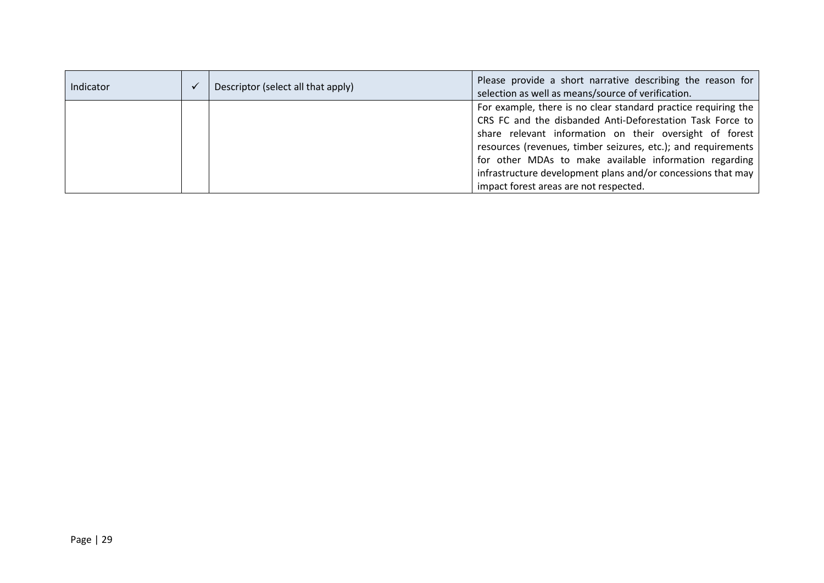| Indicator | Descriptor (select all that apply) | Please provide a short narrative describing the reason for<br>selection as well as means/source of verification.                                                                                                                                                                                                                                                                                                            |
|-----------|------------------------------------|-----------------------------------------------------------------------------------------------------------------------------------------------------------------------------------------------------------------------------------------------------------------------------------------------------------------------------------------------------------------------------------------------------------------------------|
|           |                                    | For example, there is no clear standard practice requiring the<br>CRS FC and the disbanded Anti-Deforestation Task Force to<br>share relevant information on their oversight of forest<br>resources (revenues, timber seizures, etc.); and requirements<br>for other MDAs to make available information regarding<br>infrastructure development plans and/or concessions that may<br>impact forest areas are not respected. |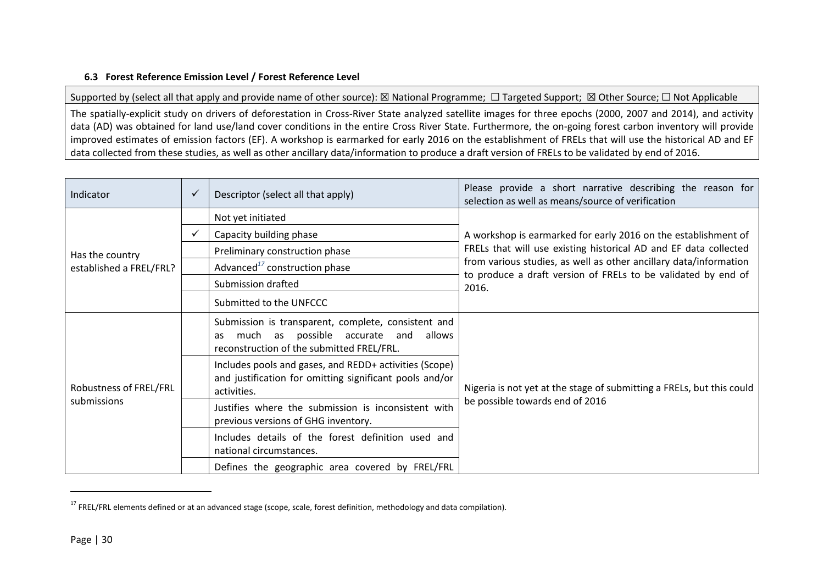## **6.3 Forest Reference Emission Level / Forest Reference Level**

Supported by (select all that apply and provide name of other source): ⊠ National Programme; □ Targeted Support; ⊠ Other Source; □ Not Applicable

The spatially-explicit study on drivers of deforestation in Cross-River State analyzed satellite images for three epochs (2000, 2007 and 2014), and activity data (AD) was obtained for land use/land cover conditions in the entire Cross River State. Furthermore, the on-going forest carbon inventory will provide improved estimates of emission factors (EF). A workshop is earmarked for early 2016 on the establishment of FRELs that will use the historical AD and EF data collected from these studies, as well as other ancillary data/information to produce a draft version of FRELs to be validated by end of 2016.

| Indicator                             | $\checkmark$ | Descriptor (select all that apply)                                                                                                             | Please provide a short narrative describing the reason for<br>selection as well as means/source of verification                    |
|---------------------------------------|--------------|------------------------------------------------------------------------------------------------------------------------------------------------|------------------------------------------------------------------------------------------------------------------------------------|
|                                       |              | Not yet initiated                                                                                                                              |                                                                                                                                    |
|                                       | $\checkmark$ | Capacity building phase                                                                                                                        | A workshop is earmarked for early 2016 on the establishment of                                                                     |
| Has the country                       |              | Preliminary construction phase                                                                                                                 | FRELs that will use existing historical AD and EF data collected                                                                   |
| established a FREL/FRL?               |              | Advanced <sup>17</sup> construction phase                                                                                                      | from various studies, as well as other ancillary data/information<br>to produce a draft version of FRELs to be validated by end of |
|                                       |              | Submission drafted                                                                                                                             | 2016.                                                                                                                              |
|                                       |              | Submitted to the UNFCCC                                                                                                                        |                                                                                                                                    |
| Robustness of FREL/FRL<br>submissions |              | Submission is transparent, complete, consistent and<br>much as possible accurate and allows<br>as<br>reconstruction of the submitted FREL/FRL. |                                                                                                                                    |
|                                       |              | Includes pools and gases, and REDD+ activities (Scope)<br>and justification for omitting significant pools and/or<br>activities.               | Nigeria is not yet at the stage of submitting a FRELs, but this could                                                              |
|                                       |              | Justifies where the submission is inconsistent with<br>previous versions of GHG inventory.                                                     | be possible towards end of 2016                                                                                                    |
|                                       |              | Includes details of the forest definition used and<br>national circumstances.                                                                  |                                                                                                                                    |
|                                       |              | Defines the geographic area covered by FREL/FRL                                                                                                |                                                                                                                                    |

 $17$  FREL/FRL elements defined or at an advanced stage (scope, scale, forest definition, methodology and data compilation).

 $\overline{\phantom{a}}$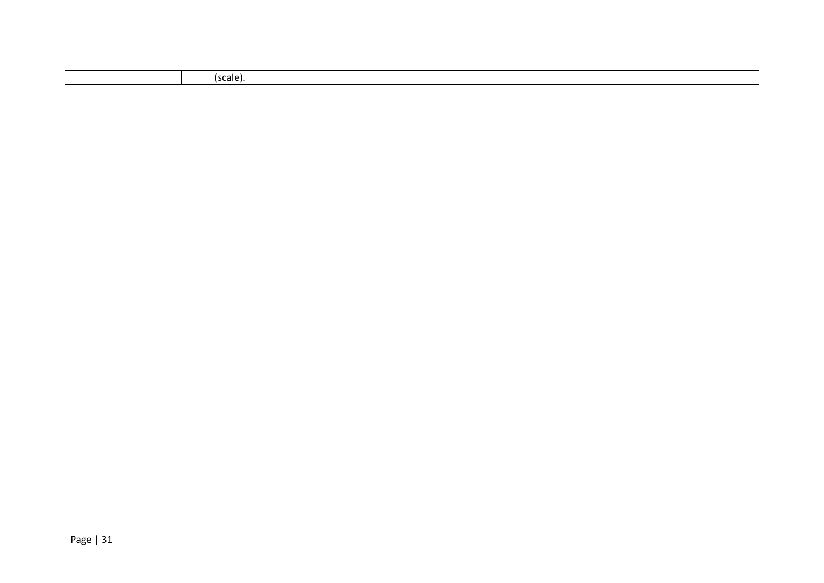| cale)<br>- 1 |  |
|--------------|--|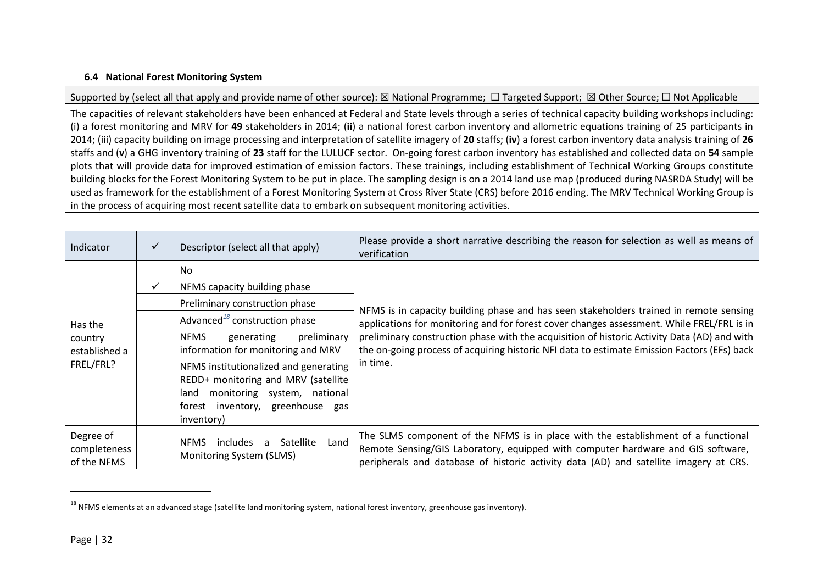# **6.4 National Forest Monitoring System**

Supported by (select all that apply and provide name of other source): ⊠ National Programme; □ Targeted Support; ⊠ Other Source; □ Not Applicable

The capacities of relevant stakeholders have been enhanced at Federal and State levels through a series of technical capacity building workshops including: (i) a forest monitoring and MRV for **49** stakeholders in 2014; (**ii**) a national forest carbon inventory and allometric equations training of 25 participants in 2014; (iii) capacity building on image processing and interpretation of satellite imagery of **20** staffs; (**iv**) a forest carbon inventory data analysis training of **26** staffs and (**v**) a GHG inventory training of **23** staff for the LULUCF sector. On-going forest carbon inventory has established and collected data on **54** sample plots that will provide data for improved estimation of emission factors. These trainings, including establishment of Technical Working Groups constitute building blocks for the Forest Monitoring System to be put in place. The sampling design is on a 2014 land use map (produced during NASRDA Study) will be used as framework for the establishment of a Forest Monitoring System at Cross River State (CRS) before 2016 ending. The MRV Technical Working Group is in the process of acquiring most recent satellite data to embark on subsequent monitoring activities.

| Indicator                                        | ✓ | Descriptor (select all that apply)                                                                                                                                    | Please provide a short narrative describing the reason for selection as well as means of<br>verification                                                                                                                                                                                |  |
|--------------------------------------------------|---|-----------------------------------------------------------------------------------------------------------------------------------------------------------------------|-----------------------------------------------------------------------------------------------------------------------------------------------------------------------------------------------------------------------------------------------------------------------------------------|--|
| Has the<br>country<br>established a<br>FREL/FRL? |   | <b>No</b>                                                                                                                                                             |                                                                                                                                                                                                                                                                                         |  |
|                                                  |   | NFMS capacity building phase                                                                                                                                          | NFMS is in capacity building phase and has seen stakeholders trained in remote sensing                                                                                                                                                                                                  |  |
|                                                  |   | Preliminary construction phase                                                                                                                                        |                                                                                                                                                                                                                                                                                         |  |
|                                                  |   | Advanced <sup>18</sup> construction phase                                                                                                                             | applications for monitoring and for forest cover changes assessment. While FREL/FRL is in<br>preliminary construction phase with the acquisition of historic Activity Data (AD) and with<br>the on-going process of acquiring historic NFI data to estimate Emission Factors (EFs) back |  |
|                                                  |   | <b>NFMS</b><br>preliminary<br>generating<br>information for monitoring and MRV                                                                                        |                                                                                                                                                                                                                                                                                         |  |
|                                                  |   | NFMS institutionalized and generating<br>REDD+ monitoring and MRV (satellite<br>monitoring system, national<br>land<br>forest inventory, greenhouse gas<br>inventory) | in time.                                                                                                                                                                                                                                                                                |  |
| Degree of<br>completeness<br>of the NFMS         |   | Satellite<br>includes a<br><b>NFMS</b><br>Land<br>Monitoring System (SLMS)                                                                                            | The SLMS component of the NFMS is in place with the establishment of a functional<br>Remote Sensing/GIS Laboratory, equipped with computer hardware and GIS software,<br>peripherals and database of historic activity data (AD) and satellite imagery at CRS.                          |  |

 $\overline{\phantom{a}}$ 

 $18$  NFMS elements at an advanced stage (satellite land monitoring system, national forest inventory, greenhouse gas inventory).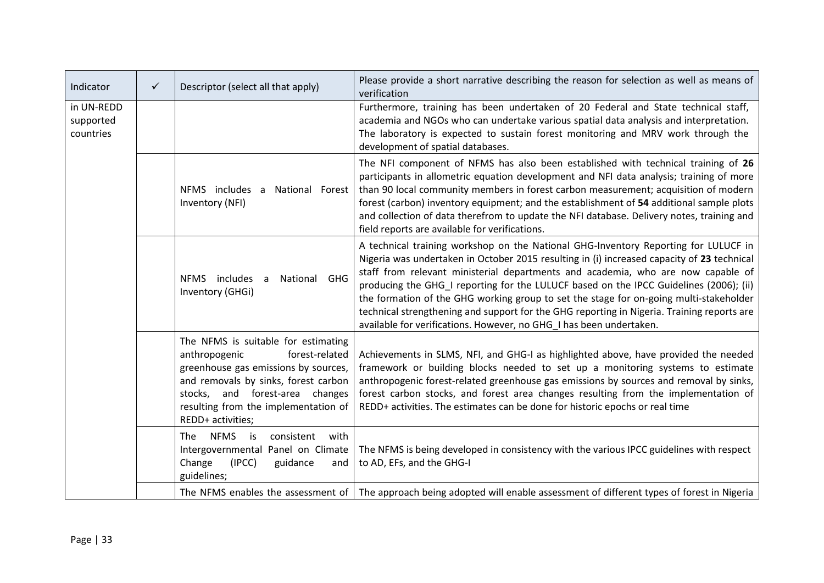| Indicator                            | $\checkmark$ | Descriptor (select all that apply)                                                                                                                                                                                                                        | Please provide a short narrative describing the reason for selection as well as means of<br>verification                                                                                                                                                                                                                                                                                                                                                                                                                                                                                                                       |  |  |
|--------------------------------------|--------------|-----------------------------------------------------------------------------------------------------------------------------------------------------------------------------------------------------------------------------------------------------------|--------------------------------------------------------------------------------------------------------------------------------------------------------------------------------------------------------------------------------------------------------------------------------------------------------------------------------------------------------------------------------------------------------------------------------------------------------------------------------------------------------------------------------------------------------------------------------------------------------------------------------|--|--|
| in UN-REDD<br>supported<br>countries |              |                                                                                                                                                                                                                                                           | Furthermore, training has been undertaken of 20 Federal and State technical staff,<br>academia and NGOs who can undertake various spatial data analysis and interpretation.<br>The laboratory is expected to sustain forest monitoring and MRV work through the<br>development of spatial databases.                                                                                                                                                                                                                                                                                                                           |  |  |
|                                      |              | NFMS includes a<br>National Forest<br>Inventory (NFI)                                                                                                                                                                                                     | The NFI component of NFMS has also been established with technical training of 26<br>participants in allometric equation development and NFI data analysis; training of more<br>than 90 local community members in forest carbon measurement; acquisition of modern<br>forest (carbon) inventory equipment; and the establishment of 54 additional sample plots<br>and collection of data therefrom to update the NFI database. Delivery notes, training and<br>field reports are available for verifications.                                                                                                                 |  |  |
|                                      |              | NFMS includes a<br>GHG<br>National<br>Inventory (GHGi)                                                                                                                                                                                                    | A technical training workshop on the National GHG-Inventory Reporting for LULUCF in<br>Nigeria was undertaken in October 2015 resulting in (i) increased capacity of 23 technical<br>staff from relevant ministerial departments and academia, who are now capable of<br>producing the GHG_I reporting for the LULUCF based on the IPCC Guidelines (2006); (ii)<br>the formation of the GHG working group to set the stage for on-going multi-stakeholder<br>technical strengthening and support for the GHG reporting in Nigeria. Training reports are<br>available for verifications. However, no GHG I has been undertaken. |  |  |
|                                      |              | The NFMS is suitable for estimating<br>forest-related<br>anthropogenic<br>greenhouse gas emissions by sources,<br>and removals by sinks, forest carbon<br>stocks, and forest-area<br>changes<br>resulting from the implementation of<br>REDD+ activities; | Achievements in SLMS, NFI, and GHG-I as highlighted above, have provided the needed<br>framework or building blocks needed to set up a monitoring systems to estimate<br>anthropogenic forest-related greenhouse gas emissions by sources and removal by sinks,<br>forest carbon stocks, and forest area changes resulting from the implementation of<br>REDD+ activities. The estimates can be done for historic epochs or real time                                                                                                                                                                                          |  |  |
|                                      |              | <b>NFMS</b><br>The.<br>is<br>consistent<br>with<br>Intergovernmental Panel on Climate<br>Change<br>(IPCC)<br>guidance<br>and<br>guidelines;                                                                                                               | The NFMS is being developed in consistency with the various IPCC guidelines with respect<br>to AD, EFs, and the GHG-I                                                                                                                                                                                                                                                                                                                                                                                                                                                                                                          |  |  |
|                                      |              |                                                                                                                                                                                                                                                           | The NFMS enables the assessment of $\vert$ The approach being adopted will enable assessment of different types of forest in Nigeria                                                                                                                                                                                                                                                                                                                                                                                                                                                                                           |  |  |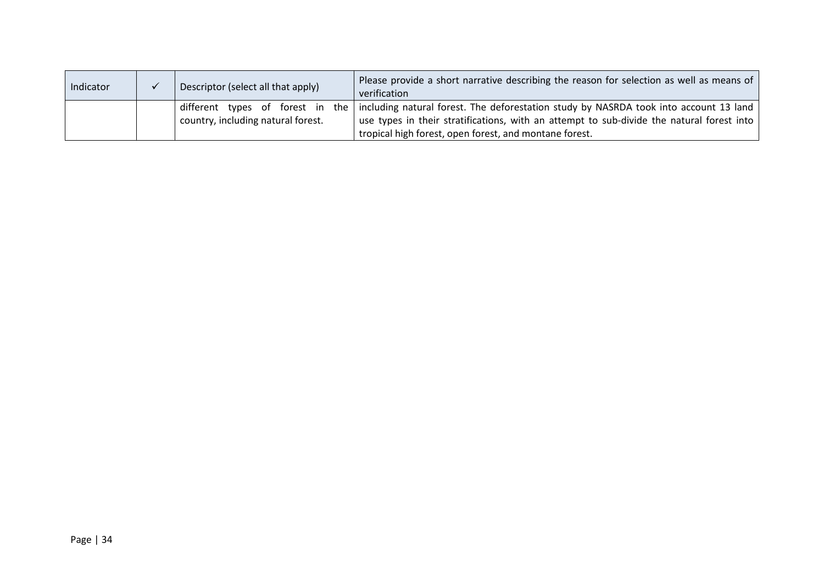| Indicator |  | Descriptor (select all that apply)                                 | Please provide a short narrative describing the reason for selection as well as means of<br>verification                                                                                               |
|-----------|--|--------------------------------------------------------------------|--------------------------------------------------------------------------------------------------------------------------------------------------------------------------------------------------------|
|           |  | different types of forest in<br>country, including natural forest. | the $\vert$ including natural forest. The deforestation study by NASRDA took into account 13 land $\vert$<br>use types in their stratifications, with an attempt to sub-divide the natural forest into |
|           |  |                                                                    | tropical high forest, open forest, and montane forest.                                                                                                                                                 |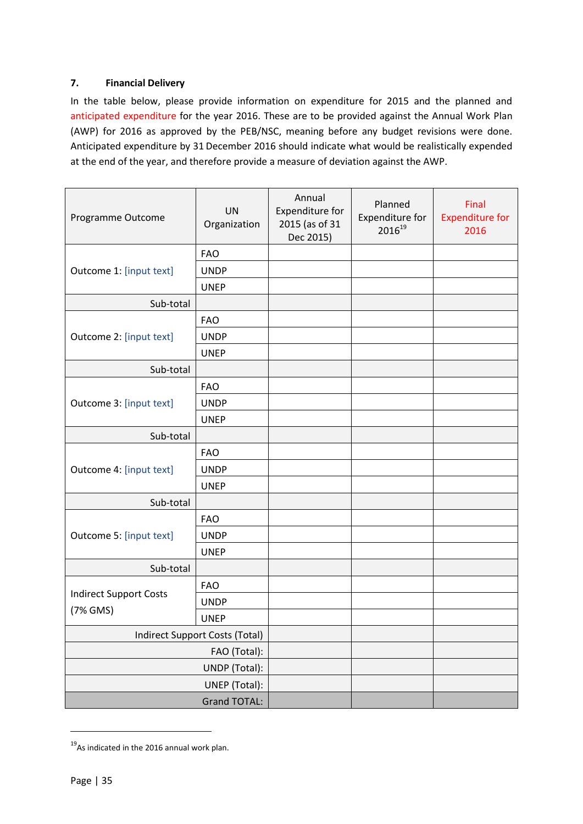# <span id="page-34-0"></span>**7. Financial Delivery**

In the table below, please provide information on expenditure for 2015 and the planned and anticipated expenditure for the year 2016. These are to be provided against the Annual Work Plan (AWP) for 2016 as approved by the PEB/NSC, meaning before any budget revisions were done. Anticipated expenditure by 31 December 2016 should indicate what would be realistically expended at the end of the year, and therefore provide a measure of deviation against the AWP.

| Programme Outcome              | <b>UN</b><br>Organization | Annual<br>Expenditure for<br>2015 (as of 31<br>Dec 2015) | Planned<br>Expenditure for<br>201619 | Final<br><b>Expenditure for</b><br>2016 |
|--------------------------------|---------------------------|----------------------------------------------------------|--------------------------------------|-----------------------------------------|
|                                | <b>FAO</b>                |                                                          |                                      |                                         |
| Outcome 1: [input text]        | <b>UNDP</b>               |                                                          |                                      |                                         |
|                                | <b>UNEP</b>               |                                                          |                                      |                                         |
| Sub-total                      |                           |                                                          |                                      |                                         |
|                                | <b>FAO</b>                |                                                          |                                      |                                         |
| Outcome 2: [input text]        | <b>UNDP</b>               |                                                          |                                      |                                         |
|                                | <b>UNEP</b>               |                                                          |                                      |                                         |
| Sub-total                      |                           |                                                          |                                      |                                         |
|                                | <b>FAO</b>                |                                                          |                                      |                                         |
| Outcome 3: [input text]        | <b>UNDP</b>               |                                                          |                                      |                                         |
|                                | <b>UNEP</b>               |                                                          |                                      |                                         |
| Sub-total                      |                           |                                                          |                                      |                                         |
|                                | <b>FAO</b>                |                                                          |                                      |                                         |
| Outcome 4: [input text]        | <b>UNDP</b>               |                                                          |                                      |                                         |
|                                | <b>UNEP</b>               |                                                          |                                      |                                         |
| Sub-total                      |                           |                                                          |                                      |                                         |
|                                | <b>FAO</b>                |                                                          |                                      |                                         |
| Outcome 5: [input text]        | <b>UNDP</b>               |                                                          |                                      |                                         |
|                                | <b>UNEP</b>               |                                                          |                                      |                                         |
| Sub-total                      |                           |                                                          |                                      |                                         |
|                                | <b>FAO</b>                |                                                          |                                      |                                         |
| <b>Indirect Support Costs</b>  | <b>UNDP</b>               |                                                          |                                      |                                         |
| (7% GMS)                       | <b>UNEP</b>               |                                                          |                                      |                                         |
| Indirect Support Costs (Total) |                           |                                                          |                                      |                                         |
|                                |                           |                                                          |                                      |                                         |
|                                | UNDP (Total):             |                                                          |                                      |                                         |
|                                | UNEP (Total):             |                                                          |                                      |                                         |
|                                | <b>Grand TOTAL:</b>       |                                                          |                                      |                                         |

 $19$ As indicated in the 2016 annual work plan.

1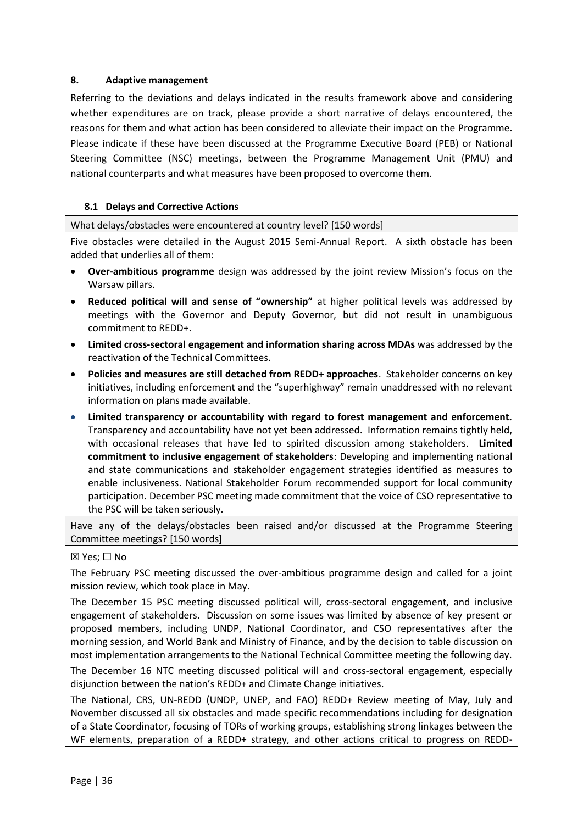# <span id="page-35-0"></span>**8. Adaptive management**

Referring to the deviations and delays indicated in the results framework above and considering whether expenditures are on track, please provide a short narrative of delays encountered, the reasons for them and what action has been considered to alleviate their impact on the Programme. Please indicate if these have been discussed at the Programme Executive Board (PEB) or National Steering Committee (NSC) meetings, between the Programme Management Unit (PMU) and national counterparts and what measures have been proposed to overcome them.

## **8.1 Delays and Corrective Actions**

What delays/obstacles were encountered at country level? [150 words]

Five obstacles were detailed in the August 2015 Semi-Annual Report. A sixth obstacle has been added that underlies all of them:

- **Over-ambitious programme** design was addressed by the joint review Mission's focus on the Warsaw pillars.
- **Reduced political will and sense of "ownership"** at higher political levels was addressed by meetings with the Governor and Deputy Governor, but did not result in unambiguous commitment to REDD+.
- **Limited cross-sectoral engagement and information sharing across MDAs** was addressed by the reactivation of the Technical Committees.
- **Policies and measures are still detached from REDD+ approaches**. Stakeholder concerns on key initiatives, including enforcement and the "superhighway" remain unaddressed with no relevant information on plans made available.
- **Limited transparency or accountability with regard to forest management and enforcement.** Transparency and accountability have not yet been addressed. Information remains tightly held, with occasional releases that have led to spirited discussion among stakeholders. **Limited commitment to inclusive engagement of stakeholders**: Developing and implementing national and state communications and stakeholder engagement strategies identified as measures to enable inclusiveness. National Stakeholder Forum recommended support for local community participation. December PSC meeting made commitment that the voice of CSO representative to the PSC will be taken seriously.

Have any of the delays/obstacles been raised and/or discussed at the Programme Steering Committee meetings? [150 words]

## ☒ Yes; ☐ No

The February PSC meeting discussed the over-ambitious programme design and called for a joint mission review, which took place in May.

The December 15 PSC meeting discussed political will, cross-sectoral engagement, and inclusive engagement of stakeholders. Discussion on some issues was limited by absence of key present or proposed members, including UNDP, National Coordinator, and CSO representatives after the morning session, and World Bank and Ministry of Finance, and by the decision to table discussion on most implementation arrangements to the National Technical Committee meeting the following day.

The December 16 NTC meeting discussed political will and cross-sectoral engagement, especially disjunction between the nation's REDD+ and Climate Change initiatives.

The National, CRS, UN-REDD (UNDP, UNEP, and FAO) REDD+ Review meeting of May, July and November discussed all six obstacles and made specific recommendations including for designation of a State Coordinator, focusing of TORs of working groups, establishing strong linkages between the WF elements, preparation of a REDD+ strategy, and other actions critical to progress on REDD-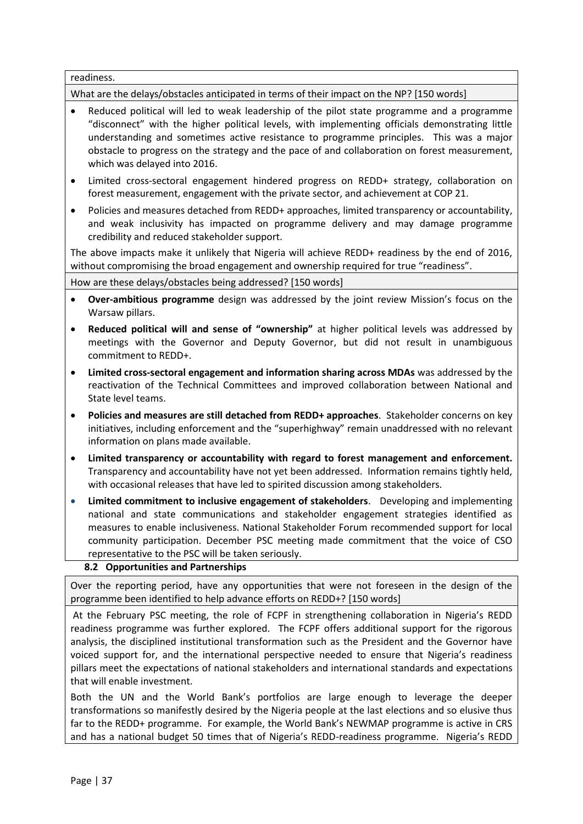readiness.

What are the delays/obstacles anticipated in terms of their impact on the NP? [150 words]

- Reduced political will led to weak leadership of the pilot state programme and a programme "disconnect" with the higher political levels, with implementing officials demonstrating little understanding and sometimes active resistance to programme principles. This was a major obstacle to progress on the strategy and the pace of and collaboration on forest measurement, which was delayed into 2016.
- Limited cross-sectoral engagement hindered progress on REDD+ strategy, collaboration on forest measurement, engagement with the private sector, and achievement at COP 21.
- Policies and measures detached from REDD+ approaches, limited transparency or accountability, and weak inclusivity has impacted on programme delivery and may damage programme credibility and reduced stakeholder support.

The above impacts make it unlikely that Nigeria will achieve REDD+ readiness by the end of 2016, without compromising the broad engagement and ownership required for true "readiness".

## How are these delays/obstacles being addressed? [150 words]

- **Over-ambitious programme** design was addressed by the joint review Mission's focus on the Warsaw pillars.
- **Reduced political will and sense of "ownership"** at higher political levels was addressed by meetings with the Governor and Deputy Governor, but did not result in unambiguous commitment to REDD+.
- **Limited cross-sectoral engagement and information sharing across MDAs** was addressed by the reactivation of the Technical Committees and improved collaboration between National and State level teams.
- **Policies and measures are still detached from REDD+ approaches**. Stakeholder concerns on key initiatives, including enforcement and the "superhighway" remain unaddressed with no relevant information on plans made available.
- **Limited transparency or accountability with regard to forest management and enforcement.** Transparency and accountability have not yet been addressed. Information remains tightly held, with occasional releases that have led to spirited discussion among stakeholders.
- **Limited commitment to inclusive engagement of stakeholders**. Developing and implementing national and state communications and stakeholder engagement strategies identified as measures to enable inclusiveness. National Stakeholder Forum recommended support for local community participation. December PSC meeting made commitment that the voice of CSO representative to the PSC will be taken seriously.

# **8.2 Opportunities and Partnerships**

Over the reporting period, have any opportunities that were not foreseen in the design of the programme been identified to help advance efforts on REDD+? [150 words]

At the February PSC meeting, the role of FCPF in strengthening collaboration in Nigeria's REDD readiness programme was further explored. The FCPF offers additional support for the rigorous analysis, the disciplined institutional transformation such as the President and the Governor have voiced support for, and the international perspective needed to ensure that Nigeria's readiness pillars meet the expectations of national stakeholders and international standards and expectations that will enable investment.

Both the UN and the World Bank's portfolios are large enough to leverage the deeper transformations so manifestly desired by the Nigeria people at the last elections and so elusive thus far to the REDD+ programme. For example, the World Bank's NEWMAP programme is active in CRS and has a national budget 50 times that of Nigeria's REDD-readiness programme. Nigeria's REDD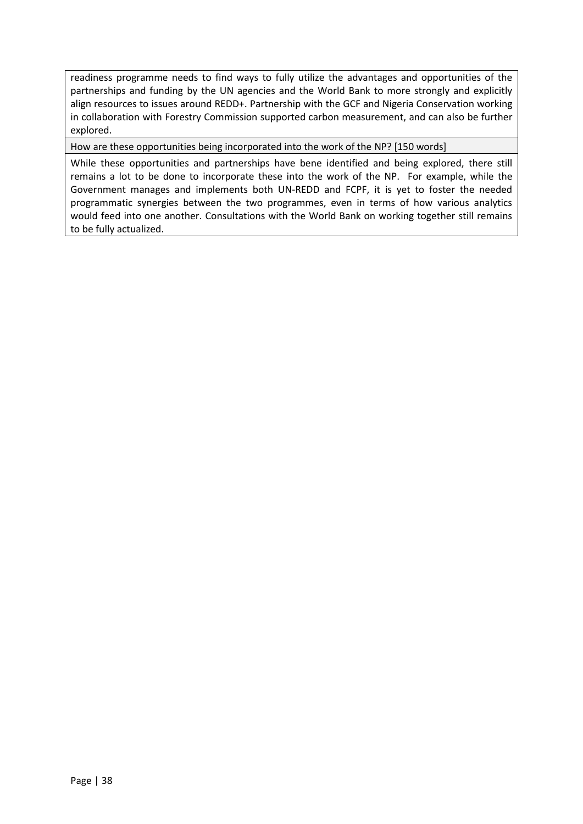readiness programme needs to find ways to fully utilize the advantages and opportunities of the partnerships and funding by the UN agencies and the World Bank to more strongly and explicitly align resources to issues around REDD+. Partnership with the GCF and Nigeria Conservation working in collaboration with Forestry Commission supported carbon measurement, and can also be further explored.

How are these opportunities being incorporated into the work of the NP? [150 words]

While these opportunities and partnerships have bene identified and being explored, there still remains a lot to be done to incorporate these into the work of the NP. For example, while the Government manages and implements both UN-REDD and FCPF, it is yet to foster the needed programmatic synergies between the two programmes, even in terms of how various analytics would feed into one another. Consultations with the World Bank on working together still remains to be fully actualized.